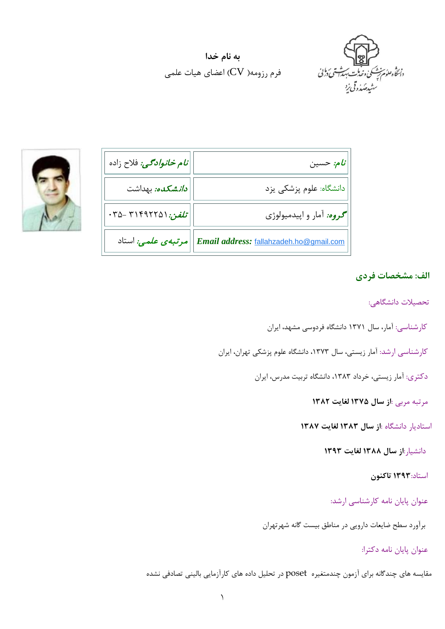

**به نام خدا** فرم رزومه(  $\rm{CV}$ ) اعضای هیات علمی



| ن <i>ام خانوادگي:</i> فلاح زاده                          | م: حسين $\left  \vec{b} \right $                                                        |
|----------------------------------------------------------|-----------------------------------------------------------------------------------------|
| <i>دان</i> شکده: بهداشت                                  | دانشگاه: علوم پزشکی یزد $\Big\vert$                                                     |
| ۰۳۵ - ۳۱۴۹۲۲۵۱ $\cdot$ تلفن: ۱ $\cdot$ ۰۳۵ - ۱۳۵ $\cdot$ | <b>گر<i>وه:</i> آمار و اپیدمیولوژی</b>                                                  |
|                                                          | <mark>E<i>mail address: <u>fallahzadeh.ho@gmail.com  </u> مرتبه یعلمی:</i> استاد</mark> |

## **الف: مشخصات فردي**

تحصیلات دانشگاهی:

- کارشناسی: آمار، سال 1371 دانشگاه فردوسی مشهد، ایران
- کارشناسی ارشد: آمار زیستی، سال ،1373 دانشگاه علوم پزشکی تهران، ایران
	- دکتري: آمار زیستی، خرداد ،1383 دانشگاه تربیت مدرس، ایران

مرتبه مربی :**از سال 1375 لغایت 1382** 

استادیار دانشگاه :**از سال 1383 لغایت 1387**

دانشیار:**از سال 1388 لغایت 1393**

#### استاد**1393**: **تاکنون**

عنوان پایان نامه کارشناسی ارشد:

برآورد سطح ضایعات دارویی در مناطق بیست گانه شهرتهران

عنوان پایان نامه دکترا:

مقایسه هاي چندگانه براي آزمون چندمتغیره poset در تحلیل داده هاي کارآزمایی بالینی تصادفی نشده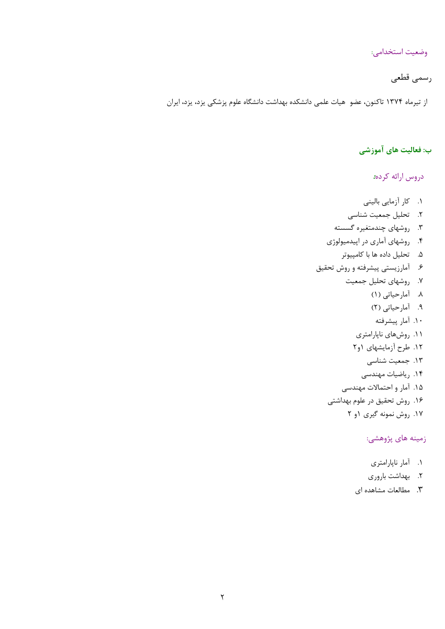وضعیت استخدامی:

# رسمی قطعی

از تیرماه 1374 تاکنون، عضو هیات علمی دانشکده بهداشت دانشگاه علوم پزشکی یزد، یزد، ایران

### **ب: فعالیت هاي آموزشی**

دروس ارائه کرده:

- .1 کار آزمایی بالینی
- .2 تحلیل جمعیت شناسی
- .3 روشهاي چندمتغیره گسسته
- .4 روشهاي آماري در اپیدمیولوژي
	- .5 تحلیل داده ها با کامپیوتر
- .6 آمارزیستی پیشرفته و روش تحقیق
	- .7 روشهاي تحلیل جمعیت
		- .8 آمارحیاتی (1)
		- .9 آمارحیاتی (2)
			- .10 آمار پیشرفته
		- .11 روشهاي ناپارامتري
		- .12 طرح آزمایشهاي 1و2
			- .13 جمعیت شناسی
			- .14 ریاضیات مهندسی
	- .15 آمار و احتمالات مهندسی
	- .16 روش تحقیق در علوم بهداشتی
		- .17 روش نمونه گیري 1و 2

### زمینه هاي پژوهشی:

- .1 آمار ناپارامتري
- .2 بهداشت باروري
- .3 مطالعات مشاهده اي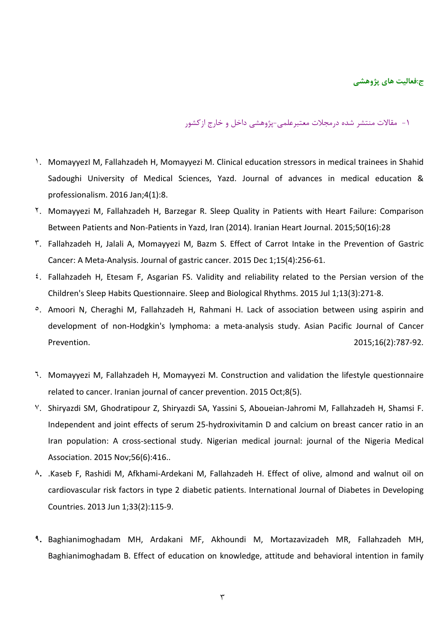**ج:فعالیت هاي پژوهشی**

-1 مقالات منتشر شده درمجلات معتبرعلمی-پژوهشی داخل و خارج ازکشور

- ۱. MomayyezI M, Fallahzadeh H, Momayyezi M. Clinical education stressors in medical trainees in Shahid Sadoughi University of Medical Sciences, Yazd. Journal of advances in medical education & professionalism. 2016 Jan;4(1):8.
- ۲. Momayyezi M, Fallahzadeh H, Barzegar R. Sleep Quality in Patients with Heart Failure: Comparison Between Patients and Non-Patients in Yazd, Iran (2014). Iranian Heart Journal. 2015;50(16):28
- ۳. Fallahzadeh H, Jalali A, Momayyezi M, Bazm S. Effect of Carrot Intake in the Prevention of Gastric Cancer: A Meta-Analysis. Journal of gastric cancer. 2015 Dec 1;15(4):256-61.
- ٤. Fallahzadeh H, Etesam F, Asgarian FS. Validity and reliability related to the Persian version of the Children's Sleep Habits Questionnaire. Sleep and Biological Rhythms. 2015 Jul 1;13(3):271-8.
- ٥. Amoori N, Cheraghi M, Fallahzadeh H, Rahmani H. Lack of association between using aspirin and development of non-Hodgkin's lymphoma: a meta-analysis study. Asian Pacific Journal of Cancer Prevention. 2015;16(2):787-92.
- ٦. Momayyezi M, Fallahzadeh H, Momayyezi M. Construction and validation the lifestyle questionnaire related to cancer. Iranian journal of cancer prevention. 2015 Oct;8(5).
- ۷. Shiryazdi SM, Ghodratipour Z, Shiryazdi SA, Yassini S, Aboueian-Jahromi M, Fallahzadeh H, Shamsi F. Independent and joint effects of serum 25-hydroxivitamin D and calcium on breast cancer ratio in an Iran population: A cross-sectional study. Nigerian medical journal: journal of the Nigeria Medical Association. 2015 Nov;56(6):416..
- **۸.** .Kaseb F, Rashidi M, Afkhami-Ardekani M, Fallahzadeh H. Effect of olive, almond and walnut oil on cardiovascular risk factors in type 2 diabetic patients. International Journal of Diabetes in Developing Countries. 2013 Jun 1;33(2):115-9.
- **۹.** Baghianimoghadam MH, Ardakani MF, Akhoundi M, Mortazavizadeh MR, Fallahzadeh MH, Baghianimoghadam B. Effect of education on knowledge, attitude and behavioral intention in family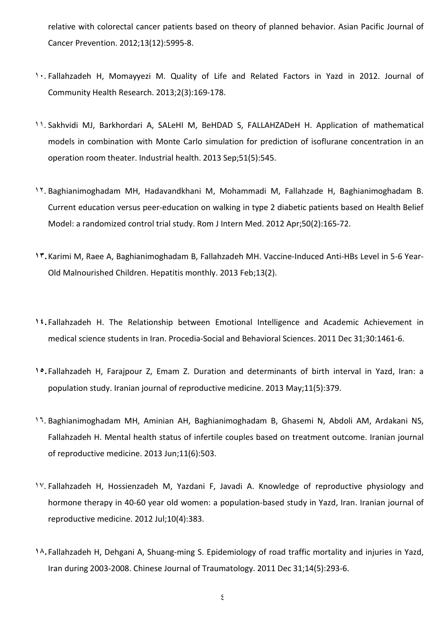relative with colorectal cancer patients based on theory of planned behavior. Asian Pacific Journal of Cancer Prevention. 2012;13(12):5995-8.

- ۱۰. Fallahzadeh H, Momayyezi M. Quality of Life and Related Factors in Yazd in 2012. Journal of Community Health Research. 2013;2(3):169-178.
- ۱۱. Sakhvidi MJ, Barkhordari A, SALeHI M, BeHDAD S, FALLAHZADeH H. Application of mathematical models in combination with Monte Carlo simulation for prediction of isoflurane concentration in an operation room theater. Industrial health. 2013 Sep;51(5):545.
- ۱۲. Baghianimoghadam MH, Hadavandkhani M, Mohammadi M, Fallahzade H, Baghianimoghadam B. Current education versus peer-education on walking in type 2 diabetic patients based on Health Belief Model: a randomized control trial study. Rom J Intern Med. 2012 Apr;50(2):165-72.
- **۱۳.**Karimi M, Raee A, Baghianimoghadam B, Fallahzadeh MH. Vaccine-Induced Anti-HBs Level in 5-6 Year-Old Malnourished Children. Hepatitis monthly. 2013 Feb;13(2).
- **۱٤.**Fallahzadeh H. The Relationship between Emotional Intelligence and Academic Achievement in medical science students in Iran. Procedia-Social and Behavioral Sciences. 2011 Dec 31;30:1461-6.
- **۱٥.**Fallahzadeh H, Farajpour Z, Emam Z. Duration and determinants of birth interval in Yazd, Iran: a population study. Iranian journal of reproductive medicine. 2013 May;11(5):379.
- ۱٦. Baghianimoghadam MH, Aminian AH, Baghianimoghadam B, Ghasemi N, Abdoli AM, Ardakani NS, Fallahzadeh H. Mental health status of infertile couples based on treatment outcome. Iranian journal of reproductive medicine. 2013 Jun;11(6):503.
- ۱۷. Fallahzadeh H, Hossienzadeh M, Yazdani F, Javadi A. Knowledge of reproductive physiology and hormone therapy in 40-60 year old women: a population-based study in Yazd, Iran. Iranian journal of reproductive medicine. 2012 Jul;10(4):383.
- **۱۸.**Fallahzadeh H, Dehgani A, Shuang-ming S. Epidemiology of road traffic mortality and injuries in Yazd, Iran during 2003-2008. Chinese Journal of Traumatology. 2011 Dec 31;14(5):293-6.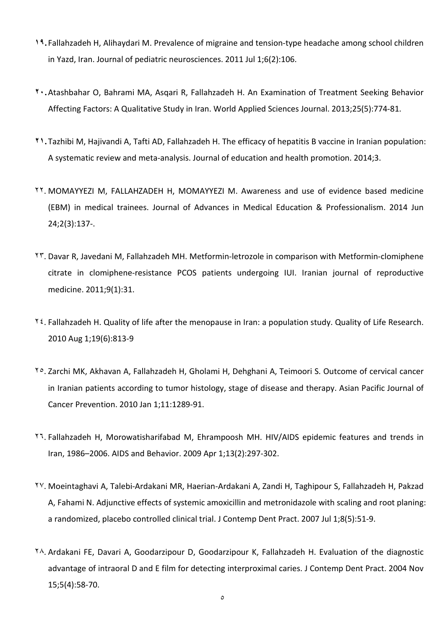- **۱۹.**Fallahzadeh H, Alihaydari M. Prevalence of migraine and tension-type headache among school children in Yazd, Iran. Journal of pediatric neurosciences. 2011 Jul 1;6(2):106.
- **۲۰.**Atashbahar O, Bahrami MA, Asqari R, Fallahzadeh H. An Examination of Treatment Seeking Behavior Affecting Factors: A Qualitative Study in Iran. World Applied Sciences Journal. 2013;25(5):774-81.
- **۲۱.**Tazhibi M, Hajivandi A, Tafti AD, Fallahzadeh H. The efficacy of hepatitis B vaccine in Iranian population: A systematic review and meta-analysis. Journal of education and health promotion. 2014;3.
- ۲۲. MOMAYYEZI M, FALLAHZADEH H, MOMAYYEZI M. Awareness and use of evidence based medicine (EBM) in medical trainees. Journal of Advances in Medical Education & Professionalism. 2014 Jun 24;2(3):137-.
- ۲۳. Davar R, Javedani M, Fallahzadeh MH. Metformin-letrozole in comparison with Metformin-clomiphene citrate in clomiphene-resistance PCOS patients undergoing IUI. Iranian journal of reproductive medicine. 2011;9(1):31.
- ۲٤. Fallahzadeh H. Quality of life after the menopause in Iran: a population study. Quality of Life Research. 2010 Aug 1;19(6):813-9
- ۲٥. Zarchi MK, Akhavan A, Fallahzadeh H, Gholami H, Dehghani A, Teimoori S. Outcome of cervical cancer in Iranian patients according to tumor histology, stage of disease and therapy. Asian Pacific Journal of Cancer Prevention. 2010 Jan 1;11:1289-91.
- ۲٦. Fallahzadeh H, Morowatisharifabad M, Ehrampoosh MH. HIV/AIDS epidemic features and trends in Iran, 1986–2006. AIDS and Behavior. 2009 Apr 1;13(2):297-302.
- ۲۷. Moeintaghavi A, Talebi-Ardakani MR, Haerian-Ardakani A, Zandi H, Taghipour S, Fallahzadeh H, Pakzad A, Fahami N. Adjunctive effects of systemic amoxicillin and metronidazole with scaling and root planing: a randomized, placebo controlled clinical trial. J Contemp Dent Pract. 2007 Jul 1;8(5):51-9.
- ۲۸. Ardakani FE, Davari A, Goodarzipour D, Goodarzipour K, Fallahzadeh H. Evaluation of the diagnostic advantage of intraoral D and E film for detecting interproximal caries. J Contemp Dent Pract. 2004 Nov 15;5(4):58-70.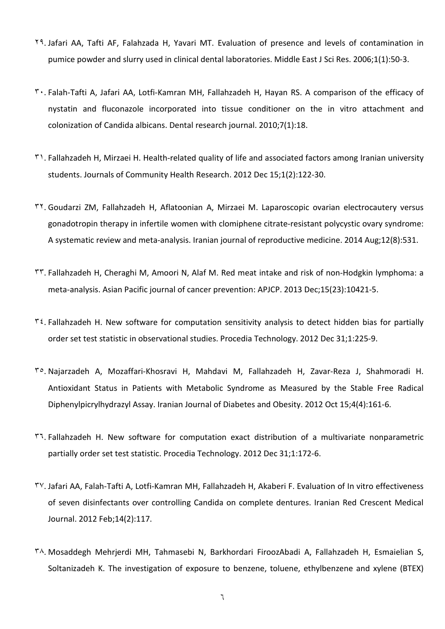- ۲۹. Jafari AA, Tafti AF, Falahzada H, Yavari MT. Evaluation of presence and levels of contamination in pumice powder and slurry used in clinical dental laboratories. Middle East J Sci Res. 2006;1(1):50-3.
- ۳۰. Falah-Tafti A, Jafari AA, Lotfi-Kamran MH, Fallahzadeh H, Hayan RS. A comparison of the efficacy of nystatin and fluconazole incorporated into tissue conditioner on the in vitro attachment and colonization of Candida albicans. Dental research journal. 2010;7(1):18.
- ۳۱. Fallahzadeh H, Mirzaei H. Health-related quality of life and associated factors among Iranian university students. Journals of Community Health Research. 2012 Dec 15;1(2):122-30.
- ۳۲. Goudarzi ZM, Fallahzadeh H, Aflatoonian A, Mirzaei M. Laparoscopic ovarian electrocautery versus gonadotropin therapy in infertile women with clomiphene citrate-resistant polycystic ovary syndrome: A systematic review and meta-analysis. Iranian journal of reproductive medicine. 2014 Aug;12(8):531.
- ۳۳. Fallahzadeh H, Cheraghi M, Amoori N, Alaf M. Red meat intake and risk of non-Hodgkin lymphoma: a meta-analysis. Asian Pacific journal of cancer prevention: APJCP. 2013 Dec;15(23):10421-5.
- $\mathbf{r}$  . Fallahzadeh H. New software for computation sensitivity analysis to detect hidden bias for partially order set test statistic in observational studies. Procedia Technology. 2012 Dec 31;1:225-9.
- ۳٥. Najarzadeh A, Mozaffari-Khosravi H, Mahdavi M, Fallahzadeh H, Zavar-Reza J, Shahmoradi H. Antioxidant Status in Patients with Metabolic Syndrome as Measured by the Stable Free Radical Diphenylpicrylhydrazyl Assay. Iranian Journal of Diabetes and Obesity. 2012 Oct 15;4(4):161-6.
- ۳٦. Fallahzadeh H. New software for computation exact distribution of a multivariate nonparametric partially order set test statistic. Procedia Technology. 2012 Dec 31;1:172-6.
- ۳۷. Jafari AA, Falah-Tafti A, Lotfi-Kamran MH, Fallahzadeh H, Akaberi F. Evaluation of In vitro effectiveness of seven disinfectants over controlling Candida on complete dentures. Iranian Red Crescent Medical Journal. 2012 Feb;14(2):117.
- ۳۸. Mosaddegh Mehrjerdi MH, Tahmasebi N, Barkhordari FiroozAbadi A, Fallahzadeh H, Esmaielian S, Soltanizadeh K. The investigation of exposure to benzene, toluene, ethylbenzene and xylene (BTEX)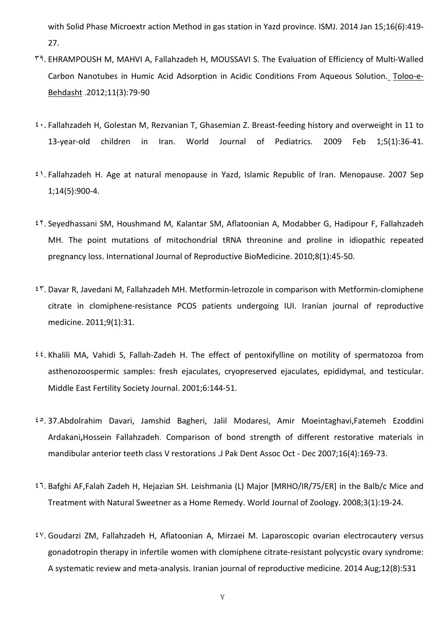with Solid Phase Microextr action Method in gas station in Yazd province. ISMJ. 2014 Jan 15;16(6):419- 27.

- ۳۹. EHRAMPOUSH M, MAHVI A, Fallahzadeh H, MOUSSAVI S. The Evaluation of Efficiency of Multi-Walled Carbon Nanotubes in Humic Acid Adsorption in Acidic Conditions From Aqueous Solution. [Toloo-e-](http://en.journals.sid.ir/JournalList.aspx?ID=13745)[Behdasht](http://en.journals.sid.ir/JournalList.aspx?ID=13745) .2012;11(3):79-90
- ٤۰. Fallahzadeh H, Golestan M, Rezvanian T, Ghasemian Z. Breast-feeding history and overweight in 11 to 13-year-old children in Iran. World Journal of Pediatrics. 2009 Feb 1;5(1):36-41.
- ٤۱. Fallahzadeh H. Age at natural menopause in Yazd, Islamic Republic of Iran. Menopause. 2007 Sep 1;14(5):900-4.
- ٤۲. Seyedhassani SM, Houshmand M, Kalantar SM, Aflatoonian A, Modabber G, Hadipour F, Fallahzadeh MH. The point mutations of mitochondrial tRNA threonine and proline in idiopathic repeated pregnancy loss. International Journal of Reproductive BioMedicine. 2010;8(1):45-50.
- ٤۳. Davar R, Javedani M, Fallahzadeh MH. Metformin-letrozole in comparison with Metformin-clomiphene citrate in clomiphene-resistance PCOS patients undergoing IUI. Iranian journal of reproductive medicine. 2011;9(1):31.
- ٤٤. Khalili MA, Vahidi S, Fallah-Zadeh H. The effect of pentoxifylline on motility of spermatozoa from asthenozoospermic samples: fresh ejaculates, cryopreserved ejaculates, epididymal, and testicular. Middle East Fertility Society Journal. 2001;6:144-51.
- ٤٥. 37.Abdolrahim Davari, Jamshid Bagheri, Jalil Modaresi, Amir Moeintaghavi,Fatemeh Ezoddini Ardakani**,**Hossein Fallahzadeh. Comparison of bond strength of different restorative materials in mandibular anterior teeth class V restorations .J Pak Dent Assoc Oct - Dec 2007;16(4):169-73.
- ٤٦. Bafghi AF,Falah Zadeh H, Hejazian SH. Leishmania (L) Major [MRHO/IR/75/ER] in the Balb/c Mice and Treatment with Natural Sweetner as a Home Remedy. World Journal of Zoology. 2008;3(1):19-24.
- ٤۷. Goudarzi ZM, Fallahzadeh H, Aflatoonian A, Mirzaei M. Laparoscopic ovarian electrocautery versus gonadotropin therapy in infertile women with clomiphene citrate-resistant polycystic ovary syndrome: A systematic review and meta-analysis. Iranian journal of reproductive medicine. 2014 Aug;12(8):531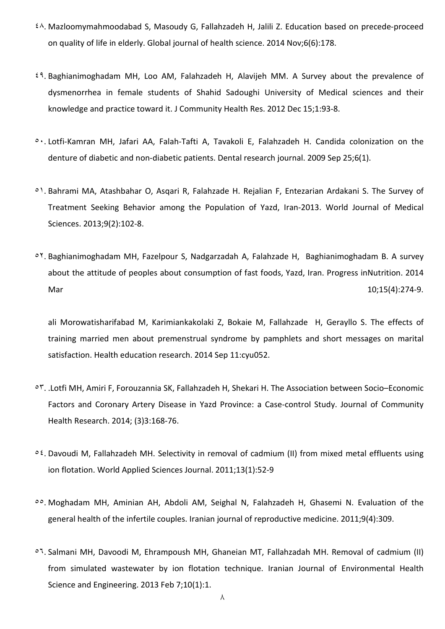- ٤۸. Mazloomymahmoodabad S, Masoudy G, Fallahzadeh H, Jalili Z. Education based on precede-proceed on quality of life in elderly. Global journal of health science. 2014 Nov;6(6):178.
- ٤۹. Baghianimoghadam MH, Loo AM, Falahzadeh H, Alavijeh MM. A Survey about the prevalence of dysmenorrhea in female students of Shahid Sadoughi University of Medical sciences and their knowledge and practice toward it. J Community Health Res. 2012 Dec 15;1:93-8.
- ٥۰. Lotfi-Kamran MH, Jafari AA, Falah-Tafti A, Tavakoli E, Falahzadeh H. Candida colonization on the denture of diabetic and non-diabetic patients. Dental research journal. 2009 Sep 25;6(1).
- ٥۱. Bahrami MA, Atashbahar O, Asqari R, Falahzade H. Rejalian F, Entezarian Ardakani S. The Survey of Treatment Seeking Behavior among the Population of Yazd, Iran-2013. World Journal of Medical Sciences. 2013;9(2):102-8.
- ٥۲. Baghianimoghadam MH, Fazelpour S, Nadgarzadah A, Falahzade H, Baghianimoghadam B. A survey about the attitude of peoples about consumption of fast foods, Yazd, Iran. Progress inNutrition. 2014 Mar 10;15(4):274-9.

ali Morowatisharifabad M, Karimiankakolaki Z, Bokaie M, Fallahzade H, Gerayllo S. The effects of training married men about premenstrual syndrome by pamphlets and short messages on marital satisfaction. Health education research. 2014 Sep 11:cyu052.

- ٥۳. .Lotfi MH, Amiri F, Forouzannia SK, Fallahzadeh H, Shekari H. The Association between Socio–Economic Factors and Coronary Artery Disease in Yazd Province: a Case-control Study. Journal of Community Health Research. 2014; (3)3:168-76.
- ٥٤. Davoudi M, Fallahzadeh MH. Selectivity in removal of cadmium (II) from mixed metal effluents using ion flotation. World Applied Sciences Journal. 2011;13(1):52-9
- ٥٥. Moghadam MH, Aminian AH, Abdoli AM, Seighal N, Falahzadeh H, Ghasemi N. Evaluation of the general health of the infertile couples. Iranian journal of reproductive medicine. 2011;9(4):309.
- ٥٦. Salmani MH, Davoodi M, Ehrampoush MH, Ghaneian MT, Fallahzadah MH. Removal of cadmium (II) from simulated wastewater by ion flotation technique. Iranian Journal of Environmental Health Science and Engineering. 2013 Feb 7;10(1):1.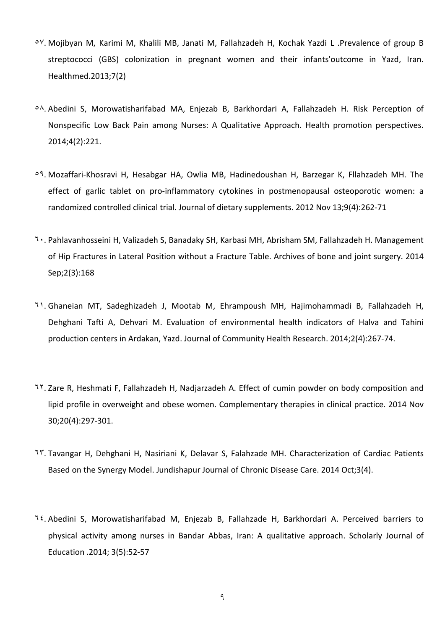- ٥۷. Mojibyan M, Karimi M, Khalili MB, Janati M, Fallahzadeh H, Kochak Yazdi L [.Prevalence of group B](http://sr.ssu.ac.ir/webdocument/load.action?webdocument_code=2000&masterCode=5007601)  [streptococci \(GBS\) colonization in pregnant women and their infants'outcome in Yazd, Iran.](http://sr.ssu.ac.ir/webdocument/load.action?webdocument_code=2000&masterCode=5007601) Healthmed.2013;7(2)
- ٥۸. Abedini S, Morowatisharifabad MA, Enjezab B, Barkhordari A, Fallahzadeh H. Risk Perception of Nonspecific Low Back Pain among Nurses: A Qualitative Approach. Health promotion perspectives. 2014;4(2):221.
- ٥۹. Mozaffari-Khosravi H, Hesabgar HA, Owlia MB, Hadinedoushan H, Barzegar K, Fllahzadeh MH. The effect of garlic tablet on pro-inflammatory cytokines in postmenopausal osteoporotic women: a randomized controlled clinical trial. Journal of dietary supplements. 2012 Nov 13;9(4):262-71
- ٦۰. Pahlavanhosseini H, Valizadeh S, Banadaky SH, Karbasi MH, Abrisham SM, Fallahzadeh H. Management of Hip Fractures in Lateral Position without a Fracture Table. Archives of bone and joint surgery. 2014 Sep;2(3):168
- ٦۱. Ghaneian MT, Sadeghizadeh J, Mootab M, Ehrampoush MH, Hajimohammadi B, Fallahzadeh H, Dehghani Tafti A, Dehvari M. Evaluation of environmental health indicators of Halva and Tahini production centers in Ardakan, Yazd. Journal of Community Health Research. 2014;2(4):267-74.
- ٦۲. Zare R, Heshmati F, Fallahzadeh H, Nadjarzadeh A. Effect of cumin powder on body composition and lipid profile in overweight and obese women. Complementary therapies in clinical practice. 2014 Nov 30;20(4):297-301.
- ٦۳. Tavangar H, Dehghani H, Nasiriani K, Delavar S, Falahzade MH. Characterization of Cardiac Patients Based on the Synergy Model. Jundishapur Journal of Chronic Disease Care. 2014 Oct;3(4).
- ٦٤. Abedini S, Morowatisharifabad M, Enjezab B, Fallahzade H, Barkhordari A. Perceived barriers to physical activity among nurses in Bandar Abbas, Iran: A qualitative approach. Scholarly Journal of Education .2014; 3(5):52-57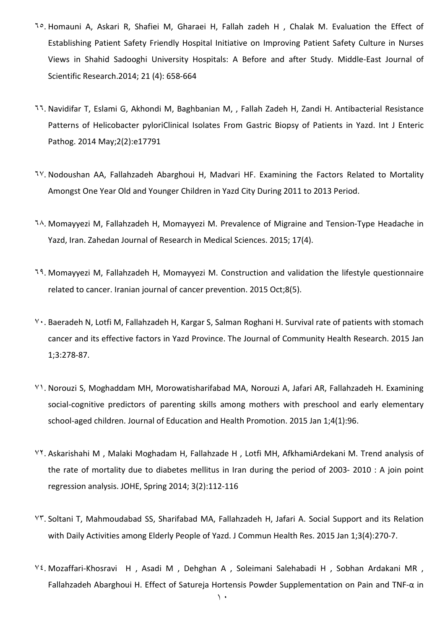- ٦٥. Homauni A, Askari R, Shafiei M, Gharaei H, Fallah zadeh H , Chalak M. [Evaluation the Effect of](http://sr.ssu.ac.ir/webdocument/load.action?webdocument_code=2000&masterCode=5012251)  [Establishing Patient Safety Friendly Hospital Initiative on Improving Patient Safety Culture in Nurses](http://sr.ssu.ac.ir/webdocument/load.action?webdocument_code=2000&masterCode=5012251)  [Views in Shahid Sadooghi University Hospitals: A Before and after Study.](http://sr.ssu.ac.ir/webdocument/load.action?webdocument_code=2000&masterCode=5012251) Middle-East Journal of Scientific Research.2014; 21 (4): 658-664
- ٦٦. Navidifar T, Eslami G, Akhondi M, Baghbanian M, , Fallah Zadeh H, Zandi H. Antibacterial Resistance Patterns of Helicobacter pyloriClinical Isolates From Gastric Biopsy of Patients in Yazd. Int J Enteric Pathog. 2014 May;2(2):e17791
- ٦۷. Nodoushan AA, Fallahzadeh Abarghoui H, Madvari HF. Examining the Factors Related to Mortality Amongst One Year Old and Younger Children in Yazd City During 2011 to 2013 Period.
- ٦۸. Momayyezi M, Fallahzadeh H, Momayyezi M. Prevalence of Migraine and Tension-Type Headache in Yazd, Iran. Zahedan Journal of Research in Medical Sciences. 2015; 17(4).
- ٦۹. Momayyezi M, Fallahzadeh H, Momayyezi M. Construction and validation the lifestyle questionnaire related to cancer. Iranian journal of cancer prevention. 2015 Oct;8(5).
- ۷۰. Baeradeh N, Lotfi M, Fallahzadeh H, Kargar S, Salman Roghani H. Survival rate of patients with stomach cancer and its effective factors in Yazd Province. The Journal of Community Health Research. 2015 Jan 1;3:278-87.
- ۷۱. Norouzi S, Moghaddam MH, Morowatisharifabad MA, Norouzi A, Jafari AR, Fallahzadeh H. Examining social-cognitive predictors of parenting skills among mothers with preschool and early elementary school-aged children. Journal of Education and Health Promotion. 2015 Jan 1;4(1):96.
- ۷۲. Askarishahi M , Malaki Moghadam H, Fallahzade H , Lotfi MH, AfkhamiArdekani M. [Trend analysis of](http://sr.ssu.ac.ir/webdocument/load.action?webdocument_code=2000&masterCode=5013099)  [the rate of mortality due to diabetes mellitus in Iran during the period of 2003-](http://sr.ssu.ac.ir/webdocument/load.action?webdocument_code=2000&masterCode=5013099) 2010 : A join point [regression analysis.](http://sr.ssu.ac.ir/webdocument/load.action?webdocument_code=2000&masterCode=5013099) JOHE, Spring 2014; 3(2):112-116
- ۷۳. Soltani T, Mahmoudabad SS, Sharifabad MA, Fallahzadeh H, Jafari A. Social Support and its Relation with Daily Activities among Elderly People of Yazd. J Commun Health Res. 2015 Jan 1;3(4):270-7.
- V<sup>2</sup>. Mozaffari-Khosravi H, Asadi M, Dehghan A, Soleimani Salehabadi H, Sobhan Ardakani MR, Fallahzadeh Abarghoui H. [Effect of Satureja Hortensis Powder Supplementation on Pain and TNF-](http://sr.ssu.ac.ir/webdocument/load.action?webdocument_code=2000&masterCode=5012051)α in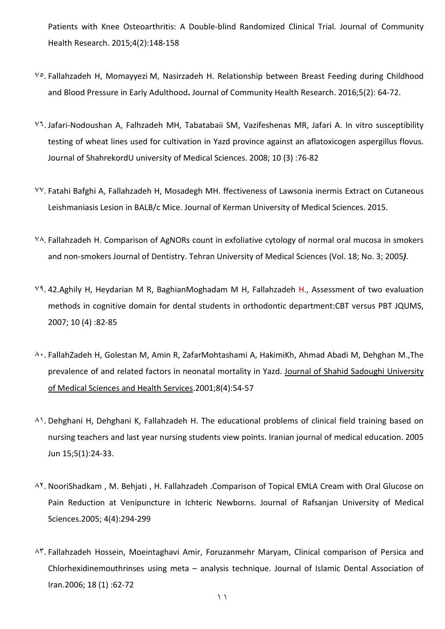[Patients with Knee Osteoarthritis: A Double-blind Randomized Clinical Trial.](http://sr.ssu.ac.ir/webdocument/load.action?webdocument_code=2000&masterCode=5012051) Journal of Community Health Research. 2015;4(2):148-158

- ۷٥. Fallahzadeh H, Momayyezi M, Nasirzadeh H. [Relationship between Breast Feeding during Childhood](http://sr.ssu.ac.ir/webdocument/load.action?webdocument_code=2000&masterCode=5013206)  [and Blood Pressure in Early Adulthood](http://sr.ssu.ac.ir/webdocument/load.action?webdocument_code=2000&masterCode=5013206)**.** Journal of Community Health Research. 2016;5(2): 64-72.
- ۷٦. Jafari-Nodoushan A, Falhzadeh MH, Tabatabaii SM, Vazifeshenas MR, Jafari A. In vitro susceptibility testing of wheat lines used for cultivation in Yazd province against an aflatoxicogen aspergillus flovus. Journal of ShahrekordU university of Medical Sciences. 2008; 10 (3) :76-82
- ۷۷. Fatahi Bafghi A, Fallahzadeh H, Mosadegh MH. ffectiveness of Lawsonia inermis Extract on Cutaneous Leishmaniasis Lesion in BALB/c Mice. Journal of Kerman University of Medical Sciences. 2015.
- ۷۸. Fallahzadeh H. Comparison of AgNORs count in exfoliative cytology of normal oral mucosa in smokers and non-smokers Journal of Dentistry. Tehran University of Medical Sciences (Vol. 18; No. 3; 2005*)*.
- ۷۹. 42.Aghily H, Heydarian M R, BaghianMoghadam M H, Fallahzadeh H., Assessment of two evaluation methods in cognitive domain for dental students in orthodontic department:CBT versus PBT JQUMS, 2007; 10 (4) :82-85
- ۸۰. FallahZadeh H, Golestan M, Amin R, ZafarMohtashami A, HakimiKh, Ahmad Abadi M, Dehghan M.,The prevalence of and related factors in neonatal mortality in Yazd. Journal of Shahid Sadoughi [University](http://en.journals.sid.ir/JournalList.aspx?ID=3672) of Medical Sciences and Health [Services.](http://en.journals.sid.ir/JournalList.aspx?ID=3672)2001;8(4):54-57
- ۸۱. Dehghani H, Dehghani K, Fallahzadeh H. The educational problems of clinical field training based on nursing teachers and last year nursing students view points. Iranian journal of medical education. 2005 Jun 15;5(1):24-33.
- ۸۲. NooriShadkam , M. Behjati , H. Fallahzadeh .Comparison of Topical EMLA Cream with Oral Glucose on Pain Reduction at Venipuncture in Ichteric Newborns. Journal of Rafsanjan University of Medical Sciences.2005; 4(4):294-299
- ۸۳. Fallahzadeh Hossein, Moeintaghavi Amir, Foruzanmehr Maryam, Clinical comparison of Persica and Chlorhexidinemouthrinses using meta – analysis technique. Journal of Islamic Dental Association of Iran.2006; 18 (1) :62-72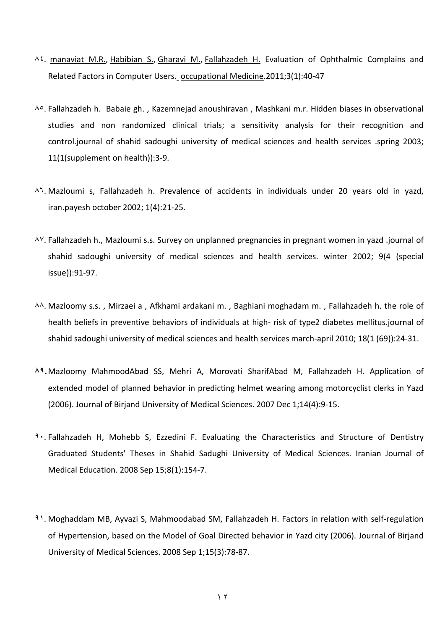- ۸٤. [manaviat](http://en.journals.sid.ir/SearchPaper.aspx?writer=193552) M.R., [Habibian](http://en.journals.sid.ir/SearchPaper.aspx?writer=21053) S., [Gharavi](http://en.journals.sid.ir/SearchPaper.aspx?writer=228836) M., [Fallahzadeh](http://en.journals.sid.ir/SearchPaper.aspx?writer=33776) H. Evaluation of Ophthalmic Complains and Related Factors in Computer Users. [occupational](http://en.journals.sid.ir/JournalList.aspx?ID=14827) Medicine.2011;3(1):40-47
- ۸٥. Fallahzadeh h. Babaie gh. , Kazemnejad anoushiravan , Mashkani m.r. Hidden biases in observational studies and non randomized clinical trials; a sensitivity analysis for their recognition and control.journal of shahid sadoughi university of medical sciences and health services .spring 2003; 11(1(supplement on health)):3-9.
- ۸٦. Mazloumi s, Fallahzadeh h. Prevalence of accidents in individuals under 20 years old in yazd, iran.payesh october 2002; 1(4):21-25.
- ۸۷. Fallahzadeh h., Mazloumi s.s. Survey on unplanned pregnancies in pregnant women in yazd .journal of shahid sadoughi university of medical sciences and health services. winter 2002; 9(4 (special issue)):91-97.
- ۸۸. Mazloomy s.s. , Mirzaei a , Afkhami ardakani m. , Baghiani moghadam m. , Fallahzadeh h. the role of health beliefs in preventive behaviors of individuals at high- risk of type2 diabetes mellitus.journal of shahid sadoughi university of medical sciences and health services march-april 2010; 18(1 (69)):24-31.
- **۸۹.**Mazloomy MahmoodAbad SS, Mehri A, Morovati SharifAbad M, Fallahzadeh H. Application of extended model of planned behavior in predicting helmet wearing among motorcyclist clerks in Yazd (2006). Journal of Birjand University of Medical Sciences. 2007 Dec 1;14(4):9-15.
- **<sup>9</sup> · Fallahzadeh H, Mohebb S, Ezzedini F. Evaluating the Characteristics and Structure of Dentistry** Graduated Students' Theses in Shahid Sadughi University of Medical Sciences. Iranian Journal of Medical Education. 2008 Sep 15;8(1):154-7.
- ۹۱. Moghaddam MB, Ayvazi S, Mahmoodabad SM, Fallahzadeh H. Factors in relation with self-regulation of Hypertension, based on the Model of Goal Directed behavior in Yazd city (2006). Journal of Birjand University of Medical Sciences. 2008 Sep 1;15(3):78-87.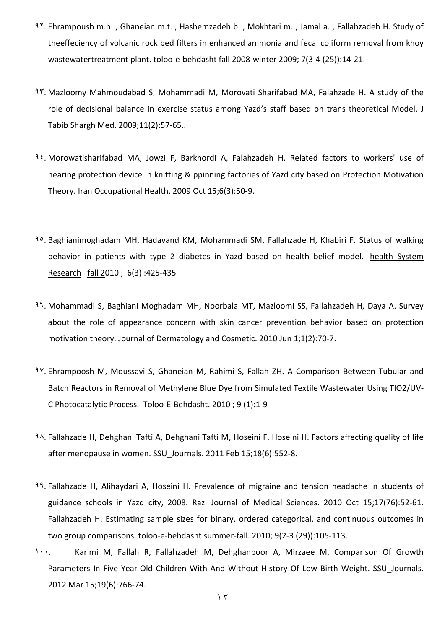- ۹۲. Ehrampoush m.h. , Ghaneian m.t. , Hashemzadeh b. , Mokhtari m. , Jamal a. , Fallahzadeh H. Study of theeffeciency of volcanic rock bed filters in enhanced ammonia and fecal coliform removal from khoy wastewatertreatment plant. toloo-e-behdasht fall 2008-winter 2009; 7(3-4 (25)):14-21.
- ۹۳. Mazloomy Mahmoudabad S, Mohammadi M, Morovati Sharifabad MA, Falahzade H. A study of the role of decisional balance in exercise status among Yazd's staff based on trans theoretical Model. J Tabib Shargh Med. 2009;11(2):57-65..
- ۹٤. Morowatisharifabad MA, Jowzi F, Barkhordi A, Falahzadeh H. Related factors to workers' use of hearing protection device in knitting & ppinning factories of Yazd city based on Protection Motivation Theory. Iran Occupational Health. 2009 Oct 15;6(3):50-9.
- ۹٥. Baghianimoghadam MH, Hadavand KM, Mohammadi SM, Fallahzade H, Khabiri F. Status of walking behavior in patients with type 2 diabetes in Yazd based on health belief model. health [System](http://en.journals.sid.ir/JournalList.aspx?ID=13821) [Research](http://en.journals.sid.ir/JournalList.aspx?ID=13821) fall 2010 ; 6(3) [:425-435](http://en.journals.sid.ir/JournalListPaper.aspx?ID=85020)
- ۹٦. Mohammadi S, Baghiani Moghadam MH, Noorbala MT, Mazloomi SS, Fallahzadeh H, Daya A. Survey about the role of appearance concern with skin cancer prevention behavior based on protection motivation theory. Journal of Dermatology and Cosmetic. 2010 Jun 1;1(2):70-7.
- ۹۷. Ehrampoosh M, Moussavi S, Ghaneian M, Rahimi S, Fallah ZH. A Comparison Between Tubular and Batch Reactors in Removal of Methylene Blue Dye from Simulated Textile Wastewater Using TIO2/UV-C Photocatalytic Process. [Toloo-E-Behdasht.](http://en.journals.sid.ir/JournalList.aspx?ID=13745) 2010 ; 9 [\(1\):1-9](http://en.journals.sid.ir/JournalList.aspx?ID=13745)
- ۹۸. Fallahzade H, Dehghani Tafti A, Dehghani Tafti M, Hoseini F, Hoseini H. Factors affecting quality of life after menopause in women. SSU\_Journals. 2011 Feb 15;18(6):552-8.
- ۹۹. Fallahzade H, Alihaydari A, Hoseini H. Prevalence of migraine and tension headache in students of guidance schools in Yazd city, 2008. Razi Journal of Medical Sciences. 2010 Oct 15;17(76):52-61. Fallahzadeh H. Estimating sample sizes for binary, ordered categorical, and continuous outcomes in two group comparisons. toloo-e-behdasht summer-fall. 2010; 9(2-3 (29)):105-113.
- ۱۰۰. Karimi M, Fallah R, Fallahzadeh M, Dehghanpoor A, Mirzaee M. Comparison Of Growth Parameters In Five Year-Old Children With And Without History Of Low Birth Weight. SSU\_Journals. 2012 Mar 15;19(6):766-74.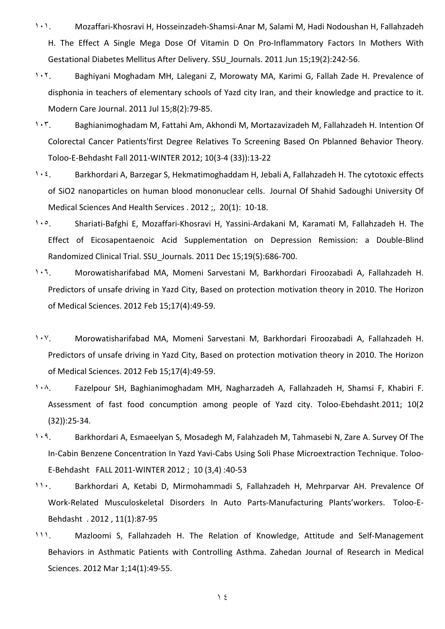- ۱۰۱. Mozaffari-Khosravi H, Hosseinzadeh-Shamsi-Anar M, Salami M, Hadi Nodoushan H, Fallahzadeh H. The Effect A Single Mega Dose Of Vitamin D On Pro-Inflammatory Factors In Mothers With Gestational Diabetes Mellitus After Delivery. SSU\_Journals. 2011 Jun 15;19(2):242-56.
- ۱۰۲. Baghiyani Moghadam MH, Lalegani Z, Morowaty MA, Karimi G, Fallah Zade H. Prevalence of disphonia in teachers of elementary schools of Yazd city Iran, and their knowledge and practice to it. Modern Care Journal. 2011 Jul 15;8(2):79-85.
- ۱۰۳. Baghianimoghadam M, Fattahi Am, Akhondi M, Mortazavizadeh M, Fallahzadeh H. Intention Of Colorectal Cancer Patients'first Degree Relatives To Screening Based On Pblanned Behavior Theory. Toloo-E-Behdasht Fall 2011-WINTER 2012; 10(3-4 (33)):13-22
- 1. Ext. Barkhordari A, Barzegar S, Hekmatimoghaddam H, Jebali A, Fallahzadeh H. The cytotoxic effects of SiO2 nanoparticles on human blood mononuclear cells. Journal Of Shahid Sadoughi [University](http://en.journals.sid.ir/JournalList.aspx?ID=3672) Of Medical [Sciences](http://en.journals.sid.ir/JournalList.aspx?ID=3672) And Health Services . 2012 ;, [20\(1\):](http://en.journals.sid.ir/JournalListPaper.aspx?ID=105864) 10-18.
- ۱۰٥. Shariati-Bafghi E, Mozaffari-Khosravi H, Yassini-Ardakani M, Karamati M, Fallahzadeh H. The Effect of Eicosapentaenoic Acid Supplementation on Depression Remission: a Double-Blind Randomized Clinical Trial. SSU\_Journals. 2011 Dec 15;19(5):686-700.
- ۱۰٦. Morowatisharifabad MA, Momeni Sarvestani M, Barkhordari Firoozabadi A, Fallahzadeh H. Predictors of unsafe driving in Yazd City, Based on protection motivation theory in 2010. The Horizon of Medical Sciences. 2012 Feb 15;17(4):49-59.
- ۱۰۷. Morowatisharifabad MA, Momeni Sarvestani M, Barkhordari Firoozabadi A, Fallahzadeh H. Predictors of unsafe driving in Yazd City, Based on protection motivation theory in 2010. The Horizon of Medical Sciences. 2012 Feb 15;17(4):49-59.
- ۱۰۸. Fazelpour SH, Baghianimoghadam MH, Nagharzadeh A, Fallahzadeh H, Shamsi F, Khabiri F. Assessment of fast food concumption among people of Yazd city. Toloo-Ebehdasht.2011; 10(2 (32)):25-34.
- ۱۰۹. Barkhordari A, Esmaeelyan S, Mosadegh M, Falahzadeh M, Tahmasebi N, Zare A. Survey Of The In-Cabin Benzene Concentration In Yazd Yavi-Cabs Using Soli Phase Microextraction Technique. [Toloo-](http://en.journals.sid.ir/JournalList.aspx?ID=13745)[E-Behdasht](http://en.journals.sid.ir/JournalList.aspx?ID=13745) FALL [2011-WINTER](http://en.journals.sid.ir/JournalListPaper.aspx?ID=110663) 2012 ; 10 (3,4) :40-53
- ۱۱۰. Barkhordari A, Ketabi D, Mirmohammadi S, Fallahzadeh H, Mehrparvar AH. Prevalence Of Work-Related Musculoskeletal Disorders In Auto Parts-Manufacturing Plants'workers. [Toloo-E-](http://en.journals.sid.ir/JournalList.aspx?ID=13745)[Behdasht](http://en.journals.sid.ir/JournalList.aspx?ID=13745) . 2012 , [11\(1\):87-95](http://en.journals.sid.ir/JournalListPaper.aspx?ID=109030)
- 111. Mazloomi S, Fallahzadeh H. The Relation of Knowledge, Attitude and Self-Management Behaviors in Asthmatic Patients with Controlling Asthma. Zahedan Journal of Research in Medical Sciences. 2012 Mar 1;14(1):49-55.

۱٤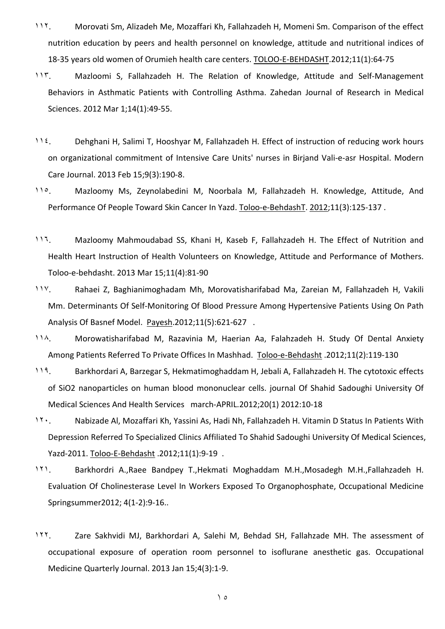- 11. Morovati Sm, Alizadeh Me, Mozaffari Kh, Fallahzadeh H, Momeni Sm. Comparison of the effect nutrition education by peers and health personnel on knowledge, attitude and nutritional indices of 18-35 years old women of Orumieh health care centers. [TOLOO-E-BEHDASHT.](http://en.journals.sid.ir/JournalList.aspx?ID=13745)2012;11(1):64-75
- ۱۱۳. Mazloomi S, Fallahzadeh H. The Relation of Knowledge, Attitude and Self-Management Behaviors in Asthmatic Patients with Controlling Asthma. Zahedan Journal of Research in Medical Sciences. 2012 Mar 1;14(1):49-55.
- 11<sup>2</sup>. Dehghani H, Salimi T, Hooshyar M, Fallahzadeh H. Effect of instruction of reducing work hours on organizational commitment of Intensive Care Units' nurses in Birjand Vali-e-asr Hospital. Modern Care Journal. 2013 Feb 15;9(3):190-8.
- 11°. Mazloomy Ms, Zeynolabedini M, Noorbala M, Fallahzadeh H. Knowledge, Attitude, And Performance Of People Toward Skin Cancer In Yazd. [Toloo-e-BehdashT.](http://en.journals.sid.ir/JournalList.aspx?ID=13745) [2012;11\(3\):125-137](http://en.journals.sid.ir/JournalListPaper.aspx?ID=150445) .
- 117. Mazloomy Mahmoudabad SS, Khani H, Kaseb F, Fallahzadeh H. The Effect of Nutrition and Health Heart Instruction of Health Volunteers on Knowledge, Attitude and Performance of Mothers. Toloo-e-behdasht. 2013 Mar 15;11(4):81-90
- ۱۱۷. Rahaei Z, Baghianimoghadam Mh, Morovatisharifabad Ma, Zareian M, Fallahzadeh H, Vakili Mm. Determinants Of Self-Monitoring Of Blood Pressure Among Hypertensive Patients Using On Path Analysis Of Basnef Model. [Payesh.](http://en.journals.sid.ir/JournalList.aspx?ID=270)2012;11(5):621-627 .
- ۱۱۸. Morowatisharifabad M, Razavinia M, Haerian Aa, Falahzadeh H. Study Of Dental Anxiety Among Patients Referred To Private Offices In Mashhad. [Toloo-e-Behdasht](http://en.journals.sid.ir/JournalList.aspx?ID=13745) .2012;11(2):119-130
- 119. Barkhordari A, Barzegar S, Hekmatimoghaddam H, Jebali A, Fallahzadeh H. The cytotoxic effects of SiO2 nanoparticles on human blood mononuclear cells. journal Of Shahid Sadoughi [University](http://en.journals.sid.ir/JournalList.aspx?ID=3672) Of Medical [Sciences](http://en.journals.sid.ir/JournalList.aspx?ID=3672) And Health Services [march-APRIL.2012;20\(1\)](http://en.journals.sid.ir/JournalListPaper.aspx?ID=105864) 2012:10-18
- ۱۲۰. Nabizade Al, Mozaffari Kh, Yassini As, Hadi Nh, Fallahzadeh H. Vitamin D Status In Patients With Depression Referred To Specialized Clinics Affiliated To Shahid Sadoughi University Of Medical Sciences, Yazd-2011. [Toloo-E-Behdasht](http://en.journals.sid.ir/JournalList.aspx?ID=13745) .2012;11(1):9-19 .
- ۱۲۱. Barkhordri A.,Raee Bandpey T.,Hekmati Moghaddam M.H.,Mosadegh M.H.,Fallahzadeh H. Evaluation Of Cholinesterase Level In Workers Exposed To Organophosphate, Occupational Medicine Springsummer2012; 4(1-2):9-16..
- ۱۲۲. Zare Sakhvidi MJ, Barkhordari A, Salehi M, Behdad SH, Fallahzade MH. The assessment of occupational exposure of operation room personnel to isoflurane anesthetic gas. Occupational Medicine Quarterly Journal. 2013 Jan 15;4(3):1-9.

۱٥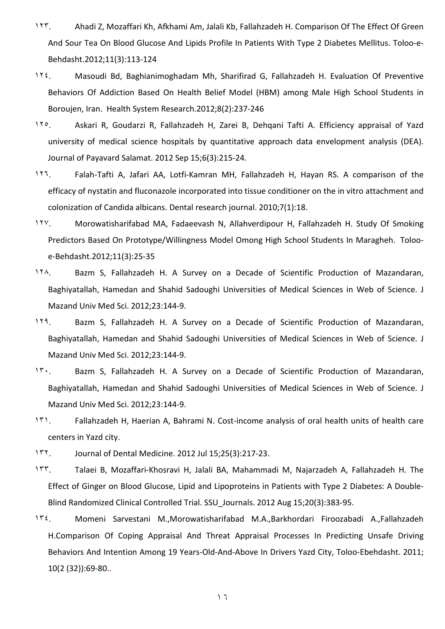- ۱۲۳. Ahadi Z, Mozaffari Kh, Afkhami Am, Jalali Kb, Fallahzadeh H. Comparison Of The Effect Of Green And Sour Tea On Blood Glucose And Lipids Profile In Patients With Type 2 Diabetes Mellitus. [Toloo-e-](http://en.journals.sid.ir/JournalList.aspx?ID=13745)[Behdasht.](http://en.journals.sid.ir/JournalList.aspx?ID=13745)2012;11(3):113-124
- 112. Masoudi Bd, Baghianimoghadam Mh, Sharifirad G, Fallahzadeh H. Evaluation Of Preventive Behaviors Of Addiction Based On Health Belief Model (HBM) among Male High School Students in Boroujen, Iran. Health System [Research.](http://en.journals.sid.ir/JournalList.aspx?ID=13821)2012;8(2):237-246
- ۱۲٥. Askari R, Goudarzi R, Fallahzadeh H, Zarei B, Dehqani Tafti A. Efficiency appraisal of Yazd university of medical science hospitals by quantitative approach data envelopment analysis (DEA). Journal of Payavard Salamat. 2012 Sep 15;6(3):215-24.
- ۱۲٦. Falah-Tafti A, Jafari AA, Lotfi-Kamran MH, Fallahzadeh H, Hayan RS. A comparison of the efficacy of nystatin and fluconazole incorporated into tissue conditioner on the in vitro attachment and colonization of Candida albicans. Dental research journal. 2010;7(1):18.
- ۱۲۷. Morowatisharifabad MA, Fadaeevash N, Allahverdipour H, Fallahzadeh H. Study Of Smoking Predictors Based On Prototype/Willingness Model Omong High School Students In Maragheh. [Toloo](http://en.journals.sid.ir/JournalList.aspx?ID=13745)[e-Behdasht.](http://en.journals.sid.ir/JournalList.aspx?ID=13745)2012;11(3):25-35
- ۱۲۸. Bazm S, Fallahzadeh H. A Survey on a Decade of Scientific Production of Mazandaran, Baghiyatallah, Hamedan and Shahid Sadoughi Universities of Medical Sciences in Web of Science. J Mazand Univ Med Sci. 2012;23:144-9.
- 119. Bazm S, Fallahzadeh H. A Survey on a Decade of Scientific Production of Mazandaran, Baghiyatallah, Hamedan and Shahid Sadoughi Universities of Medical Sciences in Web of Science. J Mazand Univ Med Sci. 2012;23:144-9.
- ۱۳۰. Bazm S, Fallahzadeh H. A Survey on a Decade of Scientific Production of Mazandaran, Baghiyatallah, Hamedan and Shahid Sadoughi Universities of Medical Sciences in Web of Science. J Mazand Univ Med Sci. 2012;23:144-9.
- ۱۳۱. Fallahzadeh H, Haerian A, Bahrami N. Cost-income analysis of oral health units of health care centers in Yazd city.
- ۱۳۲. Journal of Dental Medicine. 2012 Jul 15;25(3):217-23.
- ۱۳۳. Talaei B, Mozaffari-Khosravi H, Jalali BA, Mahammadi M, Najarzadeh A, Fallahzadeh H. The Effect of Ginger on Blood Glucose, Lipid and Lipoproteins in Patients with Type 2 Diabetes: A Double-Blind Randomized Clinical Controlled Trial. SSU\_Journals. 2012 Aug 15;20(3):383-95.
- ۱۳٤. Momeni Sarvestani M.,Morowatisharifabad M.A.,Barkhordari Firoozabadi A.,Fallahzadeh H.Comparison Of Coping Appraisal And Threat Appraisal Processes In Predicting Unsafe Driving Behaviors And Intention Among 19 Years-Old-And-Above In Drivers Yazd City, Toloo-Ebehdasht. 2011; 10(2 (32)):69-80..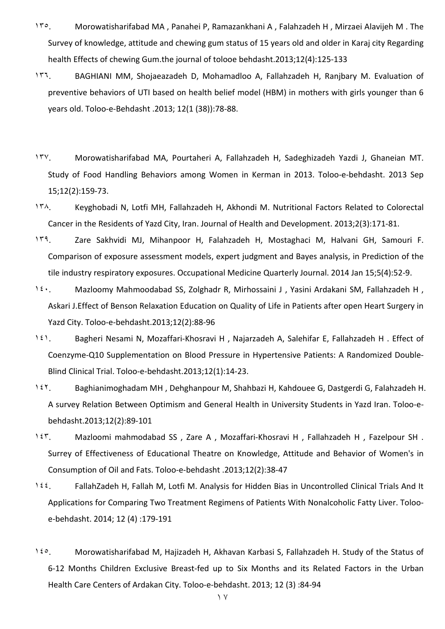- ۱۳٥. Morowatisharifabad MA , Panahei P, Ramazankhani A , Falahzadeh H , Mirzaei Alavijeh M . The Survey of knowledge, attitude and chewing gum status of 15 years old and older in Karaj city Regarding health Effects of chewing Gum.the journal of tolooe behdasht.2013;12(4):125-133
- ۱۳٦. BAGHIANI MM, Shojaeazadeh D, Mohamadloo A, Fallahzadeh H, Ranjbary M. Evaluation of preventive behaviors of UTI based on health belief model (HBM) in mothers with girls younger than 6 years old. Toloo-e-Behdasht .2013; 12(1 (38)):78-88.
- ۱۳۷. Morowatisharifabad MA, Pourtaheri A, Fallahzadeh H, Sadeghizadeh Yazdi J, Ghaneian MT. Study of Food Handling Behaviors among Women in Kerman in 2013. Toloo-e-behdasht. 2013 Sep 15;12(2):159-73.
- ۱۳۸. Keyghobadi N, Lotfi MH, Fallahzadeh H, Akhondi M. Nutritional Factors Related to Colorectal Cancer in the Residents of Yazd City, Iran. Journal of Health and Development. 2013;2(3):171-81.
- ۱۳۹. Zare Sakhvidi MJ, Mihanpoor H, Falahzadeh H, Mostaghaci M, Halvani GH, Samouri F. Comparison of exposure assessment models, expert judgment and Bayes analysis, in Prediction of the tile industry respiratory exposures. Occupational Medicine Quarterly Journal. 2014 Jan 15;5(4):52-9.
- 1٤٠. Mazloomy Mahmoodabad SS, Zolghadr R, Mirhossaini J, Yasini Ardakani SM, Fallahzadeh H, Askari J.Effect of Benson Relaxation Education on Quality of Life in Patients after open Heart Surgery in Yazd City. Toloo-e-behdasht.2013;12(2):88-96
- 1٤١. Bagheri Nesami N, Mozaffari-Khosravi H, Najarzadeh A, Salehifar E, Fallahzadeh H. Effect of Coenzyme-Q10 Supplementation on Blood Pressure in Hypertensive Patients: A Randomized Double-Blind Clinical Trial. Toloo-e-behdasht.2013;12(1):14-23.
- ۱٤۲. Baghianimoghadam MH , Dehghanpour M, Shahbazi H, Kahdouee G, Dastgerdi G, Falahzadeh H. A survey Relation Between Optimism and General Health in University Students in Yazd Iran. Toloo-ebehdasht.2013;12(2):89-101
- ۱٤۳. Mazloomi mahmodabad SS , Zare A , Mozaffari-Khosravi H , Fallahzadeh H , Fazelpour SH . Surrey of Effectiveness of Educational Theatre on Knowledge, Attitude and Behavior of Women's in Consumption of Oil and Fats. Toloo-e-behdasht .2013;12(2):38-47
- ۱٤٤. FallahZadeh H, Fallah M, Lotfi M. Analysis for Hidden Bias in Uncontrolled Clinical Trials And It Applications for Comparing Two Treatment Regimens of Patients With Nonalcoholic Fatty Liver. Tolooe-behdasht. 2014; 12 (4) :179-191
- ۱٤٥. Morowatisharifabad M, Hajizadeh H, Akhavan Karbasi S, Fallahzadeh H. Study of the Status of 6-12 Months Children Exclusive Breast-fed up to Six Months and its Related Factors in the Urban Health Care Centers of Ardakan City. Toloo-e-behdasht. 2013; 12 (3) :84-94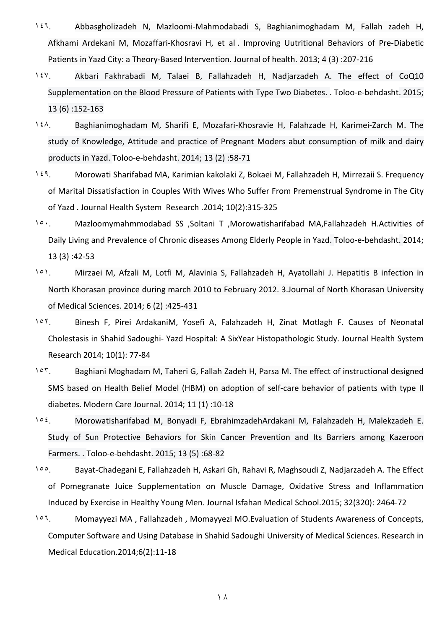- ۱٤٦. Abbasgholizadeh N, Mazloomi-Mahmodabadi S, Baghianimoghadam M, Fallah zadeh H, Afkhami Ardekani M, Mozaffari-Khosravi H, et al . Improving Uutritional Behaviors of Pre-Diabetic Patients in Yazd City: a Theory-Based Intervention. Journal of health. 2013; 4 (3) :207-216
- ۱٤۷. Akbari Fakhrabadi M, Talaei B, Fallahzadeh H, Nadjarzadeh A. The effect of CoQ10 Supplementation on the Blood Pressure of Patients with Type Two Diabetes. . Toloo-e-behdasht. 2015; 13 (6) :152-163
- ۱٤۸. Baghianimoghadam M, Sharifi E, Mozafari-Khosravie H, Falahzade H, Karimei-Zarch M. The study of Knowledge, Attitude and practice of Pregnant Moders abut consumption of milk and dairy products in Yazd. Toloo-e-behdasht. 2014; 13 (2) :58-71
- ۱٤۹. Morowati Sharifabad MA, Karimian kakolaki Z, Bokaei M, Fallahzadeh H, Mirrezaii S. Frequency of Marital Dissatisfaction in Couples With Wives Who Suffer From Premenstrual Syndrome in The City of Yazd . Journal Health System Research .2014; 10(2):315-325
- ۱٥۰. Mazloomymahmmodabad SS ,Soltani T ,Morowatisharifabad MA,Fallahzadeh H.Activities of Daily Living and Prevalence of Chronic diseases Among Elderly People in Yazd. Toloo-e-behdasht. 2014; 13 (3) :42-53
- ۱٥۱. Mirzaei M, Afzali M, Lotfi M, Alavinia S, Fallahzadeh H, Ayatollahi J. Hepatitis B infection in North Khorasan province during march 2010 to February 2012. 3.Journal of North Khorasan University of Medical Sciences. 2014; 6 (2) :425-431
- ۱٥۲. Binesh F, Pirei ArdakaniM, Yosefi A, Falahzadeh H, Zinat Motlagh F. Causes of Neonatal Cholestasis in Shahid Sadoughi- Yazd Hospital: A SixYear Histopathologic Study. Journal Health System Research 2014; 10(1): 77-84
- ١٥٣. Baghiani Moghadam M, Taheri G, Fallah Zadeh H, Parsa M. The effect of instructional designed SMS based on Health Belief Model (HBM) on adoption of self-care behavior of patients with type II diabetes. Modern Care Journal. 2014; 11 (1) :10-18
- ۱٥٤. Morowatisharifabad M, Bonyadi F, EbrahimzadehArdakani M, Falahzadeh H, Malekzadeh E. Study of Sun Protective Behaviors for Skin Cancer Prevention and Its Barriers among Kazeroon Farmers. . Toloo-e-behdasht. 2015; 13 (5) :68-82
- ۱٥٥. Bayat-Chadegani E, Fallahzadeh H, Askari Gh, Rahavi R, Maghsoudi Z, Nadjarzadeh A. The Effect of Pomegranate Juice Supplementation on Muscle Damage, Oxidative Stress and Inflammation Induced by Exercise in Healthy Young Men. Journal Isfahan Medical School.2015; 32(320): 2464-72
- ۱٥٦. Momayyezi MA , Fallahzadeh , Momayyezi MO.Evaluation of Students Awareness of Concepts, Computer Software and Using Database in Shahid Sadoughi University of Medical Sciences. Research in Medical Education.2014;6(2):11-18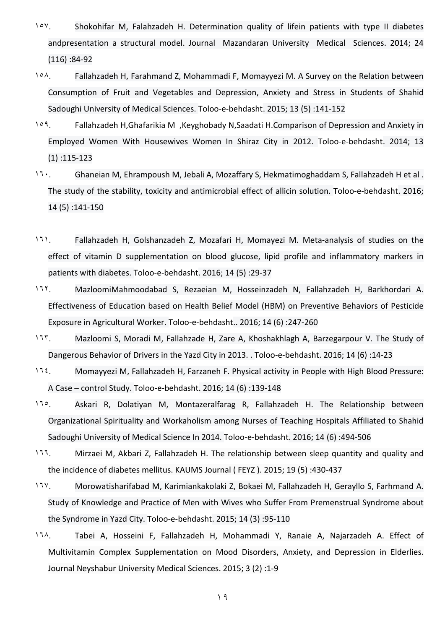- ۱٥۷. Shokohifar M, Falahzadeh H. Determination quality of lifein patients with type II diabetes andpresentation a structural model. Journal Mazandaran University Medical Sciences. 2014; 24 (116) :84-92
- ۱٥۸. Fallahzadeh H, Farahmand Z, Mohammadi F, Momayyezi M. A Survey on the Relation between Consumption of Fruit and Vegetables and Depression, Anxiety and Stress in Students of Shahid Sadoughi University of Medical Sciences. Toloo-e-behdasht. 2015; 13 (5) :141-152
- ۱٥۹. Fallahzadeh H,Ghafarikia M ,Keyghobady N,Saadati H.Comparison of Depression and Anxiety in Employed Women With Housewives Women In Shiraz City in 2012. Toloo-e-behdasht. 2014; 13 (1) :115-123
- 17. Ghaneian M, Ehrampoush M, Jebali A, Mozaffary S, Hekmatimoghaddam S, Fallahzadeh H et al. The study of the stability, toxicity and antimicrobial effect of allicin solution. Toloo-e-behdasht. 2016; 14 (5) :141-150
- ۱٦۱. Fallahzadeh H, Golshanzadeh Z, Mozafari H, Momayezi M. Meta-analysis of studies on the effect of vitamin D supplementation on blood glucose, lipid profile and inflammatory markers in patients with diabetes. Toloo-e-behdasht. 2016; 14 (5) :29-37
- ۱٦۲. MazloomiMahmoodabad S, Rezaeian M, Hosseinzadeh N, Fallahzadeh H, Barkhordari A. Effectiveness of Education based on Health Belief Model (HBM) on Preventive Behaviors of Pesticide Exposure in Agricultural Worker. Toloo-e-behdasht.. 2016; 14 (6) :247-260
- ۱٦۳. Mazloomi S, Moradi M, Fallahzade H, Zare A, Khoshakhlagh A, Barzegarpour V. The Study of Dangerous Behavior of Drivers in the Yazd City in 2013. . Toloo-e-behdasht. 2016; 14 (6) :14-23
- ۱٦٤. Momayyezi M, Fallahzadeh H, Farzaneh F. Physical activity in People with High Blood Pressure: A Case – control Study. Toloo-e-behdasht. 2016; 14 (6) :139-148
- 11°. Askari R, Dolatiyan M, Montazeralfarag R, Fallahzadeh H. The Relationship between Organizational Spirituality and Workaholism among Nurses of Teaching Hospitals Affiliated to Shahid Sadoughi University of Medical Science In 2014. Toloo-e-behdasht. 2016; 14 (6) :494-506
- ١٦٦. Mirzaei M, Akbari Z, Fallahzadeh H. The relationship between sleep quantity and quality and the incidence of diabetes mellitus. KAUMS Journal ( FEYZ ). 2015; 19 (5) :430-437
- ١٦٧. Morowatisharifabad M, Karimiankakolaki Z, Bokaei M, Fallahzadeh H, Gerayllo S, Farhmand A. Study of Knowledge and Practice of Men with Wives who Suffer From Premenstrual Syndrome about the Syndrome in Yazd City. Toloo-e-behdasht. 2015; 14 (3) :95-110
- ۱٦۸. Tabei A, Hosseini F, Fallahzadeh H, Mohammadi Y, Ranaie A, Najarzadeh A. Effect of Multivitamin Complex Supplementation on Mood Disorders, Anxiety, and Depression in Elderlies. Journal Neyshabur University Medical Sciences. 2015; 3 (2) :1-9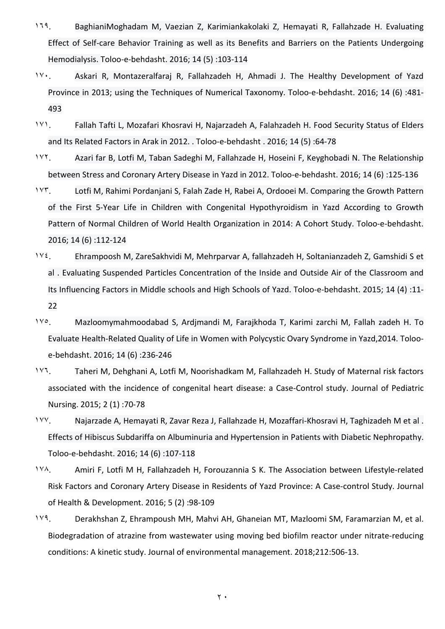- ۱٦۹. BaghianiMoghadam M, Vaezian Z, Karimiankakolaki Z, Hemayati R, Fallahzade H. Evaluating Effect of Self-care Behavior Training as well as its Benefits and Barriers on the Patients Undergoing Hemodialysis. Toloo-e-behdasht. 2016; 14 (5) :103-114
- ۱۷۰. Askari R, Montazeralfaraj R, Fallahzadeh H, Ahmadi J. The Healthy Development of Yazd Province in 2013; using the Techniques of Numerical Taxonomy. Toloo-e-behdasht. 2016; 14 (6) :481- 493
- ۱۷۱. Fallah Tafti L, Mozafari Khosravi H, Najarzadeh A, Falahzadeh H. Food Security Status of Elders and Its Related Factors in Arak in 2012. . Toloo-e-behdasht . 2016; 14 (5) :64-78
- ۱۷۲. Azari far B, Lotfi M, Taban Sadeghi M, Fallahzade H, Hoseini F, Keyghobadi N. The Relationship between Stress and Coronary Artery Disease in Yazd in 2012. Toloo-e-behdasht. 2016; 14 (6) :125-136
- ۱۷۳. Lotfi M, Rahimi Pordanjani S, Falah Zade H, Rabei A, Ordooei M. Comparing the Growth Pattern of the First 5-Year Life in Children with Congenital Hypothyroidism in Yazd According to Growth Pattern of Normal Children of World Health Organization in 2014: A Cohort Study. Toloo-e-behdasht. 2016; 14 (6) :112-124
- ۱۷٤. Ehrampoosh M, ZareSakhvidi M, Mehrparvar A, fallahzadeh H, Soltanianzadeh Z, Gamshidi S et al . Evaluating Suspended Particles Concentration of the Inside and Outside Air of the Classroom and Its Influencing Factors in Middle schools and High Schools of Yazd. Toloo-e-behdasht. 2015; 14 (4) :11- 22
- ۱۷٥. Mazloomymahmoodabad S, Ardjmandi M, Farajkhoda T, Karimi zarchi M, Fallah zadeh H. To Evaluate Health-Related Quality of Life in Women with Polycystic Ovary Syndrome in Yazd,2014. Tolooe-behdasht. 2016; 14 (6) :236-246
- ۱۷٦. Taheri M, Dehghani A, Lotfi M, Noorishadkam M, Fallahzadeh H. Study of Maternal risk factors associated with the incidence of congenital heart disease: a Case-Control study. Journal of Pediatric Nursing. 2015; 2 (1) :70-78
- ۱۷۷. Najarzade A, Hemayati R, Zavar Reza J, Fallahzade H, Mozaffari-Khosravi H, Taghizadeh M et al . Effects of Hibiscus Subdariffa on Albuminuria and Hypertension in Patients with Diabetic Nephropathy. Toloo-e-behdasht. 2016; 14 (6) :107-118
- ۱۷۸. Amiri F, Lotfi M H, Fallahzadeh H, Forouzannia S K. The Association between Lifestyle-related Risk Factors and Coronary Artery Disease in Residents of Yazd Province: A Case-control Study. Journal of Health & Development. 2016; 5 (2) :98-109
- ۱۷۹. Derakhshan Z, Ehrampoush MH, Mahvi AH, Ghaneian MT, Mazloomi SM, Faramarzian M, et al. Biodegradation of atrazine from wastewater using moving bed biofilm reactor under nitrate-reducing conditions: A kinetic study. Journal of environmental management. 2018;212:506-13.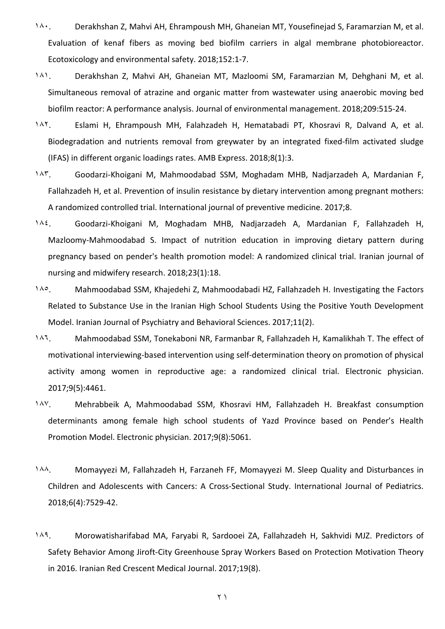- ۱۸۰. Derakhshan Z, Mahvi AH, Ehrampoush MH, Ghaneian MT, Yousefinejad S, Faramarzian M, et al. Evaluation of kenaf fibers as moving bed biofilm carriers in algal membrane photobioreactor. Ecotoxicology and environmental safety. 2018;152:1-7.
- ۱۸۱. Derakhshan Z, Mahvi AH, Ghaneian MT, Mazloomi SM, Faramarzian M, Dehghani M, et al. Simultaneous removal of atrazine and organic matter from wastewater using anaerobic moving bed biofilm reactor: A performance analysis. Journal of environmental management. 2018;209:515-24.
- ۱۸۲. Eslami H, Ehrampoush MH, Falahzadeh H, Hematabadi PT, Khosravi R, Dalvand A, et al. Biodegradation and nutrients removal from greywater by an integrated fixed-film activated sludge (IFAS) in different organic loadings rates. AMB Express. 2018;8(1):3.
- ۱۸۳. Goodarzi-Khoigani M, Mahmoodabad SSM, Moghadam MHB, Nadjarzadeh A, Mardanian F, Fallahzadeh H, et al. Prevention of insulin resistance by dietary intervention among pregnant mothers: A randomized controlled trial. International journal of preventive medicine. 2017;8.
- ۱۸٤. Goodarzi-Khoigani M, Moghadam MHB, Nadjarzadeh A, Mardanian F, Fallahzadeh H, Mazloomy-Mahmoodabad S. Impact of nutrition education in improving dietary pattern during pregnancy based on pender's health promotion model: A randomized clinical trial. Iranian journal of nursing and midwifery research. 2018;23(1):18.
- ۱۸٥. Mahmoodabad SSM, Khajedehi Z, Mahmoodabadi HZ, Fallahzadeh H. Investigating the Factors Related to Substance Use in the Iranian High School Students Using the Positive Youth Development Model. Iranian Journal of Psychiatry and Behavioral Sciences. 2017;11(2).
- ۱۸٦. Mahmoodabad SSM, Tonekaboni NR, Farmanbar R, Fallahzadeh H, Kamalikhah T. The effect of motivational interviewing-based intervention using self-determination theory on promotion of physical activity among women in reproductive age: a randomized clinical trial. Electronic physician. 2017;9(5):4461.
- ۱۸۷. Mehrabbeik A, Mahmoodabad SSM, Khosravi HM, Fallahzadeh H. Breakfast consumption determinants among female high school students of Yazd Province based on Pender's Health Promotion Model. Electronic physician. 2017;9(8):5061.
- ۱۸۸. Momayyezi M, Fallahzadeh H, Farzaneh FF, Momayyezi M. Sleep Quality and Disturbances in Children and Adolescents with Cancers: A Cross-Sectional Study. International Journal of Pediatrics. 2018;6(4):7529-42.
- ۱۸۹. Morowatisharifabad MA, Faryabi R, Sardooei ZA, Fallahzadeh H, Sakhvidi MJZ. Predictors of Safety Behavior Among Jiroft-City Greenhouse Spray Workers Based on Protection Motivation Theory in 2016. Iranian Red Crescent Medical Journal. 2017;19(8).

۲۱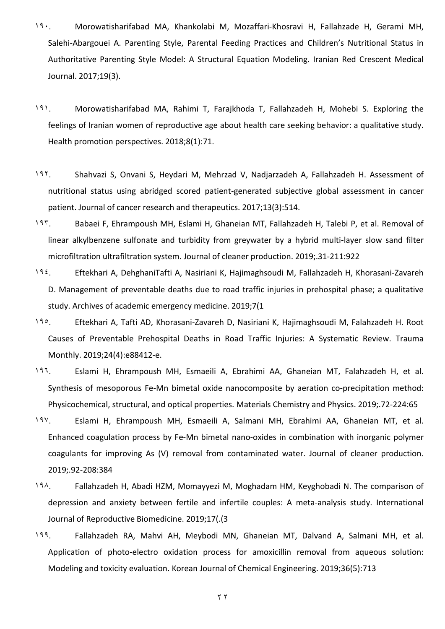- ۱۹۰. Morowatisharifabad MA, Khankolabi M, Mozaffari-Khosravi H, Fallahzade H, Gerami MH, Salehi-Abargouei A. Parenting Style, Parental Feeding Practices and Children's Nutritional Status in Authoritative Parenting Style Model: A Structural Equation Modeling. Iranian Red Crescent Medical Journal. 2017;19(3).
- ۱۹۱. Morowatisharifabad MA, Rahimi T, Farajkhoda T, Fallahzadeh H, Mohebi S. Exploring the feelings of Iranian women of reproductive age about health care seeking behavior: a qualitative study. Health promotion perspectives. 2018;8(1):71.
- ۱۹۲. Shahvazi S, Onvani S, Heydari M, Mehrzad V, Nadjarzadeh A, Fallahzadeh H. Assessment of nutritional status using abridged scored patient-generated subjective global assessment in cancer patient. Journal of cancer research and therapeutics. 2017;13(3):514.
- ۱۹۳. Babaei F, Ehrampoush MH, Eslami H, Ghaneian MT, Fallahzadeh H, Talebi P, et al. Removal of linear alkylbenzene sulfonate and turbidity from greywater by a hybrid multi-layer slow sand filter microfiltration ultrafiltration system. Journal of cleaner production. 2019;.31-211:922
- ۱۹٤. Eftekhari A, DehghaniTafti A, Nasiriani K, Hajimaghsoudi M, Fallahzadeh H, Khorasani-Zavareh D. Management of preventable deaths due to road traffic injuries in prehospital phase; a qualitative study. Archives of academic emergency medicine. 2019;7(1
- ۱۹٥. Eftekhari A, Tafti AD, Khorasani-Zavareh D, Nasiriani K, Hajimaghsoudi M, Falahzadeh H. Root Causes of Preventable Prehospital Deaths in Road Traffic Injuries: A Systematic Review. Trauma Monthly. 2019;24(4):e88412-e.
- ۱۹٦. Eslami H, Ehrampoush MH, Esmaeili A, Ebrahimi AA, Ghaneian MT, Falahzadeh H, et al. Synthesis of mesoporous Fe-Mn bimetal oxide nanocomposite by aeration co-precipitation method: Physicochemical, structural, and optical properties. Materials Chemistry and Physics. 2019;.72-224:65
- ۱۹۷. Eslami H, Ehrampoush MH, Esmaeili A, Salmani MH, Ebrahimi AA, Ghaneian MT, et al. Enhanced coagulation process by Fe-Mn bimetal nano-oxides in combination with inorganic polymer coagulants for improving As (V) removal from contaminated water. Journal of cleaner production. 2019;.92-208:384
- ۱۹۸. Fallahzadeh H, Abadi HZM, Momayyezi M, Moghadam HM, Keyghobadi N. The comparison of depression and anxiety between fertile and infertile couples: A meta-analysis study. International Journal of Reproductive Biomedicine. 2019;17(.(3
- ۱۹۹. Fallahzadeh RA, Mahvi AH, Meybodi MN, Ghaneian MT, Dalvand A, Salmani MH, et al. Application of photo-electro oxidation process for amoxicillin removal from aqueous solution: Modeling and toxicity evaluation. Korean Journal of Chemical Engineering. 2019;36(5):713

 $\forall$   $\forall$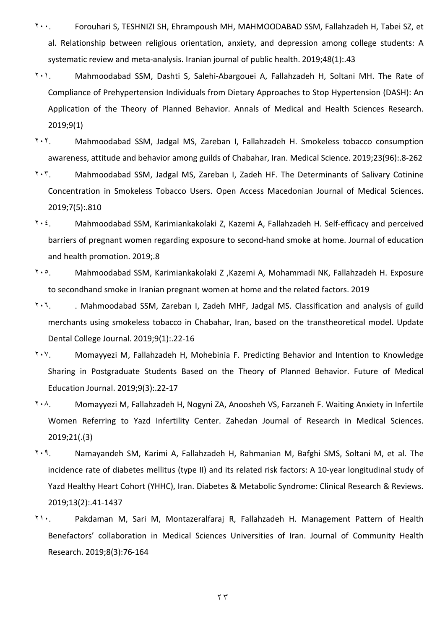- ۲۰۰. Forouhari S, TESHNIZI SH, Ehrampoush MH, MAHMOODABAD SSM, Fallahzadeh H, Tabei SZ, et al. Relationship between religious orientation, anxiety, and depression among college students: A systematic review and meta-analysis. Iranian journal of public health. 2019;48(1):.43
- ۲۰۱. Mahmoodabad SSM, Dashti S, Salehi-Abargouei A, Fallahzadeh H, Soltani MH. The Rate of Compliance of Prehypertension Individuals from Dietary Approaches to Stop Hypertension (DASH): An Application of the Theory of Planned Behavior. Annals of Medical and Health Sciences Research. 2019;9(1)
- ۲۰۲. Mahmoodabad SSM, Jadgal MS, Zareban I, Fallahzadeh H. Smokeless tobacco consumption awareness, attitude and behavior among guilds of Chabahar, Iran. Medical Science. 2019;23(96):.8-262
- ۲۰۳. Mahmoodabad SSM, Jadgal MS, Zareban I, Zadeh HF. The Determinants of Salivary Cotinine Concentration in Smokeless Tobacco Users. Open Access Macedonian Journal of Medical Sciences. 2019;7(5):.810
- ۲۰٤. Mahmoodabad SSM, Karimiankakolaki Z, Kazemi A, Fallahzadeh H. Self-efficacy and perceived barriers of pregnant women regarding exposure to second-hand smoke at home. Journal of education and health promotion. 2019;.8
- ۲۰٥. Mahmoodabad SSM, Karimiankakolaki Z ,Kazemi A, Mohammadi NK, Fallahzadeh H. Exposure to secondhand smoke in Iranian pregnant women at home and the related factors. 2019
- ۲۰٦. . Mahmoodabad SSM, Zareban I, Zadeh MHF, Jadgal MS. Classification and analysis of guild merchants using smokeless tobacco in Chabahar, Iran, based on the transtheoretical model. Update Dental College Journal. 2019;9(1):.22-16
- ۲۰۷. Momayyezi M, Fallahzadeh H, Mohebinia F. Predicting Behavior and Intention to Knowledge Sharing in Postgraduate Students Based on the Theory of Planned Behavior. Future of Medical Education Journal. 2019;9(3):.22-17
- ۲۰۸. Momayyezi M, Fallahzadeh H, Nogyni ZA, Anoosheh VS, Farzaneh F. Waiting Anxiety in Infertile Women Referring to Yazd Infertility Center. Zahedan Journal of Research in Medical Sciences. 2019;21(.(3)
- ۲۰۹. Namayandeh SM, Karimi A, Fallahzadeh H, Rahmanian M, Bafghi SMS, Soltani M, et al. The incidence rate of diabetes mellitus (type II) and its related risk factors: A 10-year longitudinal study of Yazd Healthy Heart Cohort (YHHC), Iran. Diabetes & Metabolic Syndrome: Clinical Research & Reviews. 2019;13(2):.41-1437
- ۲۱۰. Pakdaman M, Sari M, Montazeralfaraj R, Fallahzadeh H. Management Pattern of Health Benefactors' collaboration in Medical Sciences Universities of Iran. Journal of Community Health Research. 2019;8(3):76-164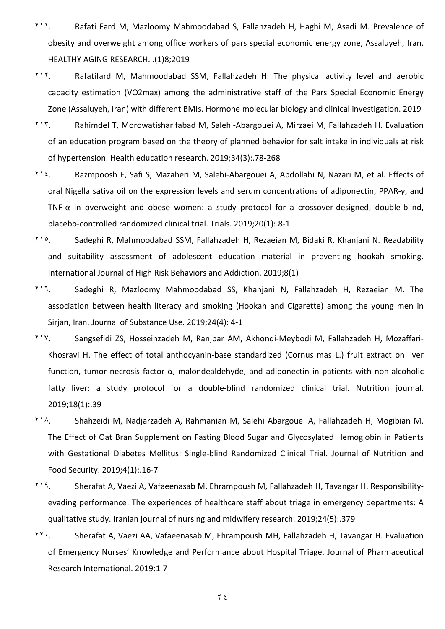- ۲۱۱. Rafati Fard M, Mazloomy Mahmoodabad S, Fallahzadeh H, Haghi M, Asadi M. Prevalence of obesity and overweight among office workers of pars special economic energy zone, Assaluyeh, Iran. HEALTHY AGING RESEARCH. .(1)8;2019
- ۲۱۲. Rafatifard M, Mahmoodabad SSM, Fallahzadeh H. The physical activity level and aerobic capacity estimation (VO2max) among the administrative staff of the Pars Special Economic Energy Zone (Assaluyeh, Iran) with different BMIs. Hormone molecular biology and clinical investigation. 2019
- ۲۱۳. Rahimdel T, Morowatisharifabad M, Salehi-Abargouei A, Mirzaei M, Fallahzadeh H. Evaluation of an education program based on the theory of planned behavior for salt intake in individuals at risk of hypertension. Health education research. 2019;34(3):.78-268
- ۲۱٤. Razmpoosh E, Safi S, Mazaheri M, Salehi-Abargouei A, Abdollahi N, Nazari M, et al. Effects of oral Nigella sativa oil on the expression levels and serum concentrations of adiponectin, PPAR-γ, and TNF-α in overweight and obese women: a study protocol for a crossover-designed, double-blind, placebo-controlled randomized clinical trial. Trials. 2019;20(1):.8-1
- ۲۱٥. Sadeghi R, Mahmoodabad SSM, Fallahzadeh H, Rezaeian M, Bidaki R, Khanjani N. Readability and suitability assessment of adolescent education material in preventing hookah smoking. International Journal of High Risk Behaviors and Addiction. 2019;8(1)
- ۲۱٦. Sadeghi R, Mazloomy Mahmoodabad SS, Khanjani N, Fallahzadeh H, Rezaeian M. The association between health literacy and smoking (Hookah and Cigarette) among the young men in Sirjan, Iran. Journal of Substance Use. 2019;24(4): 4-1
- ۲۱۷. Sangsefidi ZS, Hosseinzadeh M, Ranjbar AM, Akhondi-Meybodi M, Fallahzadeh H, Mozaffari-Khosravi H. The effect of total anthocyanin-base standardized (Cornus mas L.) fruit extract on liver function, tumor necrosis factor α, malondealdehyde, and adiponectin in patients with non-alcoholic fatty liver: a study protocol for a double-blind randomized clinical trial. Nutrition journal. 2019;18(1):.39
- ۲۱۸. Shahzeidi M, Nadjarzadeh A, Rahmanian M, Salehi Abargouei A, Fallahzadeh H, Mogibian M. The Effect of Oat Bran Supplement on Fasting Blood Sugar and Glycosylated Hemoglobin in Patients with Gestational Diabetes Mellitus: Single-blind Randomized Clinical Trial. Journal of Nutrition and Food Security. 2019;4(1):.16-7
- ۲۱۹. Sherafat A, Vaezi A, Vafaeenasab M, Ehrampoush M, Fallahzadeh H, Tavangar H. Responsibilityevading performance: The experiences of healthcare staff about triage in emergency departments: A qualitative study. Iranian journal of nursing and midwifery research. 2019;24(5):.379
- ۲۲۰. Sherafat A, Vaezi AA, Vafaeenasab M, Ehrampoush MH, Fallahzadeh H, Tavangar H. Evaluation of Emergency Nurses' Knowledge and Performance about Hospital Triage. Journal of Pharmaceutical Research International. 2019:1-7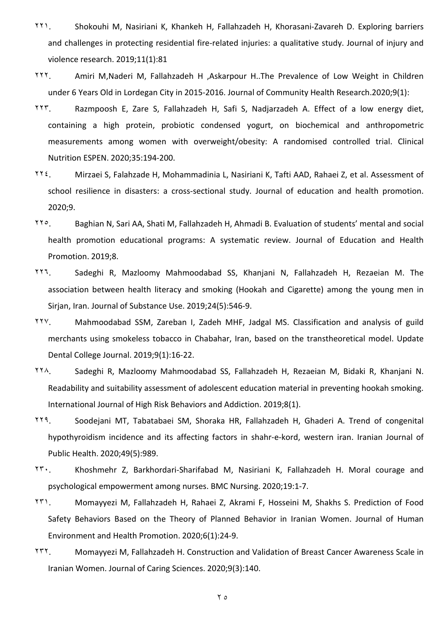- ۲۲۱. Shokouhi M, Nasiriani K, Khankeh H, Fallahzadeh H, Khorasani-Zavareh D. Exploring barriers and challenges in protecting residential fire-related injuries: a qualitative study. Journal of injury and violence research. 2019;11(1):81
- ۲۲۲. Amiri M,Naderi M, Fallahzadeh H ,Askarpour H.[.The Prevalence of Low Weight in Children](http://sr.ssu.ac.ir/webdocument/load.action?webdocument_code=2000&masterCode=5018484)  under 6 [Years Old in Lordegan City in 2015-2016.](http://sr.ssu.ac.ir/webdocument/load.action?webdocument_code=2000&masterCode=5018484) Journal of Community Health Research.2020;9(1):
- ۲۲۳. Razmpoosh E, Zare S, Fallahzadeh H, Safi S, Nadjarzadeh A. Effect of a low energy diet, containing a high protein, probiotic condensed yogurt, on biochemical and anthropometric measurements among women with overweight/obesity: A randomised controlled trial. Clinical Nutrition ESPEN. 2020;35:194-200.
- ۲۲٤. Mirzaei S, Falahzade H, Mohammadinia L, Nasiriani K, Tafti AAD, Rahaei Z, et al. Assessment of school resilience in disasters: a cross-sectional study. Journal of education and health promotion. 2020;9.
- ۲۲٥. Baghian N, Sari AA, Shati M, Fallahzadeh H, Ahmadi B. Evaluation of students' mental and social health promotion educational programs: A systematic review. Journal of Education and Health Promotion. 2019;8.
- ۲۲٦. Sadeghi R, Mazloomy Mahmoodabad SS, Khanjani N, Fallahzadeh H, Rezaeian M. The association between health literacy and smoking (Hookah and Cigarette) among the young men in Sirjan, Iran. Journal of Substance Use. 2019;24(5):546-9.
- ۲۲۷. Mahmoodabad SSM, Zareban I, Zadeh MHF, Jadgal MS. Classification and analysis of guild merchants using smokeless tobacco in Chabahar, Iran, based on the transtheoretical model. Update Dental College Journal. 2019;9(1):16-22.
- ۲۲۸. Sadeghi R, Mazloomy Mahmoodabad SS, Fallahzadeh H, Rezaeian M, Bidaki R, Khanjani N. Readability and suitability assessment of adolescent education material in preventing hookah smoking. International Journal of High Risk Behaviors and Addiction. 2019;8(1).
- ۲۲۹. Soodejani MT, Tabatabaei SM, Shoraka HR, Fallahzadeh H, Ghaderi A. Trend of congenital hypothyroidism incidence and its affecting factors in shahr-e-kord, western iran. Iranian Journal of Public Health. 2020;49(5):989.
- ۲۳۰. Khoshmehr Z, Barkhordari-Sharifabad M, Nasiriani K, Fallahzadeh H. Moral courage and psychological empowerment among nurses. BMC Nursing. 2020;19:1-7.
- ۲۳۱. Momayyezi M, Fallahzadeh H, Rahaei Z, Akrami F, Hosseini M, Shakhs S. Prediction of Food Safety Behaviors Based on the Theory of Planned Behavior in Iranian Women. Journal of Human Environment and Health Promotion. 2020;6(1):24-9.
- ۲۳۲. Momayyezi M, Fallahzadeh H. Construction and Validation of Breast Cancer Awareness Scale in Iranian Women. Journal of Caring Sciences. 2020;9(3):140.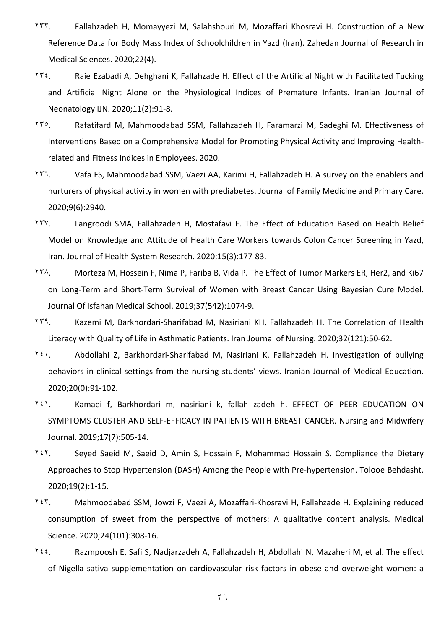- ۲۳۳. Fallahzadeh H, Momayyezi M, Salahshouri M, Mozaffari Khosravi H. Construction of a New Reference Data for Body Mass Index of Schoolchildren in Yazd (Iran). Zahedan Journal of Research in Medical Sciences. 2020;22(4).
- ۲۳٤. Raie Ezabadi A, Dehghani K, Fallahzade H. Effect of the Artificial Night with Facilitated Tucking and Artificial Night Alone on the Physiological Indices of Premature Infants. Iranian Journal of Neonatology IJN. 2020;11(2):91-8.
- ۲۳٥. Rafatifard M, Mahmoodabad SSM, Fallahzadeh H, Faramarzi M, Sadeghi M. Effectiveness of Interventions Based on a Comprehensive Model for Promoting Physical Activity and Improving Healthrelated and Fitness Indices in Employees. 2020.
- ۲۳٦. Vafa FS, Mahmoodabad SSM, Vaezi AA, Karimi H, Fallahzadeh H. A survey on the enablers and nurturers of physical activity in women with prediabetes. Journal of Family Medicine and Primary Care. 2020;9(6):2940.
- ۲۳۷. Langroodi SMA, Fallahzadeh H, Mostafavi F. The Effect of Education Based on Health Belief Model on Knowledge and Attitude of Health Care Workers towards Colon Cancer Screening in Yazd, Iran. Journal of Health System Research. 2020;15(3):177-83.
- ۲۳۸. Morteza M, Hossein F, Nima P, Fariba B, Vida P. The Effect of Tumor Markers ER, Her2, and Ki67 on Long-Term and Short-Term Survival of Women with Breast Cancer Using Bayesian Cure Model. Journal Of Isfahan Medical School. 2019;37(542):1074-9.
- ۲۳۹. Kazemi M, Barkhordari-Sharifabad M, Nasiriani KH, Fallahzadeh H. The Correlation of Health Literacy with Quality of Life in Asthmatic Patients. Iran Journal of Nursing. 2020;32(121):50-62.
- ۲٤۰. Abdollahi Z, Barkhordari-Sharifabad M, Nasiriani K, Fallahzadeh H. Investigation of bullying behaviors in clinical settings from the nursing students' views. Iranian Journal of Medical Education. 2020;20(0):91-102.
- ۲٤۱. Kamaei f, Barkhordari m, nasiriani k, fallah zadeh h. EFFECT OF PEER EDUCATION ON SYMPTOMS CLUSTER AND SELF-EFFICACY IN PATIENTS WITH BREAST CANCER. Nursing and Midwifery Journal. 2019;17(7):505-14.
- ۲٤۲. Seyed Saeid M, Saeid D, Amin S, Hossain F, Mohammad Hossain S. Compliance the Dietary Approaches to Stop Hypertension (DASH) Among the People with Pre-hypertension. Tolooe Behdasht. 2020;19(2):1-15.
- ۲٤۳. Mahmoodabad SSM, Jowzi F, Vaezi A, Mozaffari-Khosravi H, Fallahzade H. Explaining reduced consumption of sweet from the perspective of mothers: A qualitative content analysis. Medical Science. 2020;24(101):308-16.
- $Y_{i}$ . Razmpoosh E, Safi S, Nadjarzadeh A, Fallahzadeh H, Abdollahi N, Mazaheri M, et al. The effect of Nigella sativa supplementation on cardiovascular risk factors in obese and overweight women: a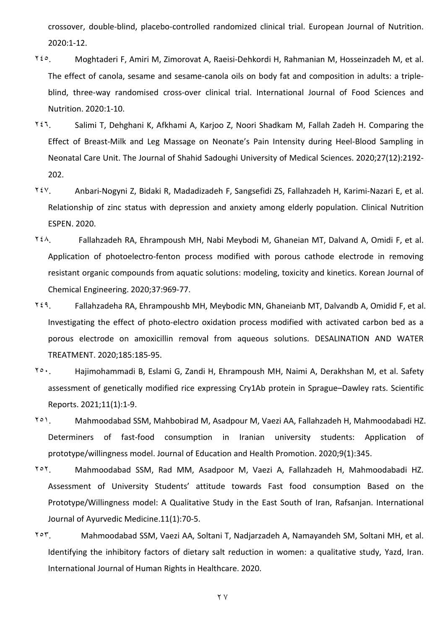crossover, double-blind, placebo-controlled randomized clinical trial. European Journal of Nutrition. 2020:1-12.

- ۲٤٥. Moghtaderi F, Amiri M, Zimorovat A, Raeisi-Dehkordi H, Rahmanian M, Hosseinzadeh M, et al. The effect of canola, sesame and sesame-canola oils on body fat and composition in adults: a tripleblind, three-way randomised cross-over clinical trial. International Journal of Food Sciences and Nutrition. 2020:1-10.
- ۲٤٦. Salimi T, Dehghani K, Afkhami A, Karjoo Z, Noori Shadkam M, Fallah Zadeh H. Comparing the Effect of Breast-Milk and Leg Massage on Neonate's Pain Intensity during Heel-Blood Sampling in Neonatal Care Unit. The Journal of Shahid Sadoughi University of Medical Sciences. 2020;27(12):2192- 202.
- ۲٤۷. Anbari-Nogyni Z, Bidaki R, Madadizadeh F, Sangsefidi ZS, Fallahzadeh H, Karimi-Nazari E, et al. Relationship of zinc status with depression and anxiety among elderly population. Clinical Nutrition ESPEN. 2020.
- ۲٤۸. Fallahzadeh RA, Ehrampoush MH, Nabi Meybodi M, Ghaneian MT, Dalvand A, Omidi F, et al. Application of photoelectro-fenton process modified with porous cathode electrode in removing resistant organic compounds from aquatic solutions: modeling, toxicity and kinetics. Korean Journal of Chemical Engineering. 2020;37:969-77.
- ۲٤۹. Fallahzadeha RA, Ehrampoushb MH, Meybodic MN, Ghaneianb MT, Dalvandb A, Omidid F, et al. Investigating the effect of photo-electro oxidation process modified with activated carbon bed as a porous electrode on amoxicillin removal from aqueous solutions. DESALINATION AND WATER TREATMENT. 2020;185:185-95.
- ۲٥۰. Hajimohammadi B, Eslami G, Zandi H, Ehrampoush MH, Naimi A, Derakhshan M, et al. Safety assessment of genetically modified rice expressing Cry1Ab protein in Sprague–Dawley rats. Scientific Reports. 2021;11(1):1-9.
- ۲٥۱. Mahmoodabad SSM, Mahbobirad M, Asadpour M, Vaezi AA, Fallahzadeh H, Mahmoodabadi HZ. Determiners of fast-food consumption in Iranian university students: Application of prototype/willingness model. Journal of Education and Health Promotion. 2020;9(1):345.
- ۲٥۲. Mahmoodabad SSM, Rad MM, Asadpoor M, Vaezi A, Fallahzadeh H, Mahmoodabadi HZ. Assessment of University Students' attitude towards Fast food consumption Based on the Prototype/Willingness model: A Qualitative Study in the East South of Iran, Rafsanjan. International Journal of Ayurvedic Medicine.11(1):70-5.
- ۲٥۳. Mahmoodabad SSM, Vaezi AA, Soltani T, Nadjarzadeh A, Namayandeh SM, Soltani MH, et al. Identifying the inhibitory factors of dietary salt reduction in women: a qualitative study, Yazd, Iran. International Journal of Human Rights in Healthcare. 2020.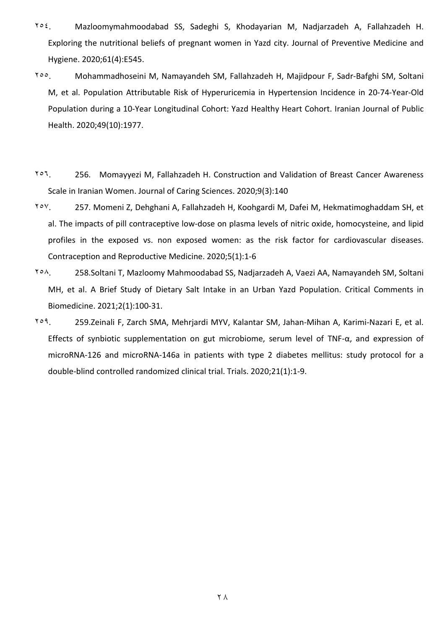- ۲٥٤. Mazloomymahmoodabad SS, Sadeghi S, Khodayarian M, Nadjarzadeh A, Fallahzadeh H. Exploring the nutritional beliefs of pregnant women in Yazd city. Journal of Preventive Medicine and Hygiene. 2020;61(4):E545.
- ۲٥٥. Mohammadhoseini M, Namayandeh SM, Fallahzadeh H, Majidpour F, Sadr-Bafghi SM, Soltani M, et al. Population Attributable Risk of Hyperuricemia in Hypertension Incidence in 20-74-Year-Old Population during a 10-Year Longitudinal Cohort: Yazd Healthy Heart Cohort. Iranian Journal of Public Health. 2020;49(10):1977.
- ۲٥٦. 256. Momayyezi M, Fallahzadeh H. Construction and Validation of Breast Cancer Awareness Scale in Iranian Women. Journal of Caring Sciences. 2020;9(3):140
- ۲٥۷. 257. Momeni Z, Dehghani A, Fallahzadeh H, Koohgardi M, Dafei M, Hekmatimoghaddam SH, et al. The impacts of pill contraceptive low-dose on plasma levels of nitric oxide, homocysteine, and lipid profiles in the exposed vs. non exposed women: as the risk factor for cardiovascular diseases. Contraception and Reproductive Medicine. 2020;5(1):1-6
- ۲٥۸. 258.Soltani T, Mazloomy Mahmoodabad SS, Nadjarzadeh A, Vaezi AA, Namayandeh SM, Soltani MH, et al. A Brief Study of Dietary Salt Intake in an Urban Yazd Population. Critical Comments in Biomedicine. 2021;2(1):100-31.
- ۲٥۹. 259.Zeinali F, Zarch SMA, Mehrjardi MYV, Kalantar SM, Jahan-Mihan A, Karimi-Nazari E, et al. Effects of synbiotic supplementation on gut microbiome, serum level of TNF-α, and expression of microRNA-126 and microRNA-146a in patients with type 2 diabetes mellitus: study protocol for a double-blind controlled randomized clinical trial. Trials. 2020;21(1):1-9.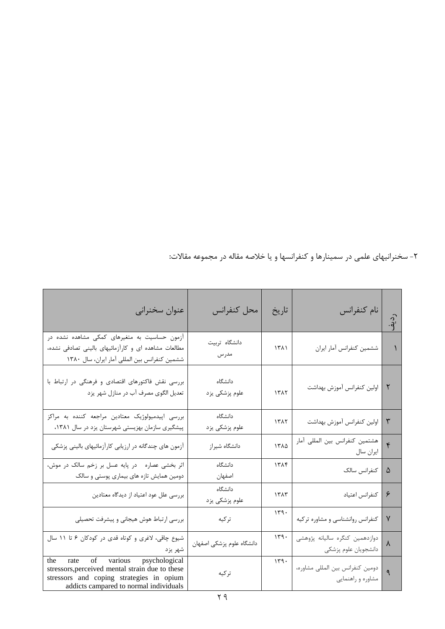ردیف -2 سخنرانیهاي علمی در سمینارها و کنفرانسها و یا خلاصه مقاله در مجموعه مقالات**:**

| عنوان سخنراني                                                                                                                                                                 | محل كنفرانس               | تاريخ | نام كنفرانس                                            | $\frac{1}{2}$ |
|-------------------------------------------------------------------------------------------------------------------------------------------------------------------------------|---------------------------|-------|--------------------------------------------------------|---------------|
| آزمون حساسیت به متغیرهای کمکی مشاهده نشده در<br>مطالعات مشاهده ای و کارآزمائیهای بالینی تصادفی نشده،<br>ششمین کنفرانس بین المللی آمار ایران، سال ١٣٨٠                         | دانشگاه تربیت<br>مدرس     | 1511  | ششمين كنفرانس أمار ايران                               |               |
| بررسی نقش فاکتورهای اقتصادی و فرهنگی در ارتباط با<br>تعدیل الگوی مصرف آب در منازل شهر یزد                                                                                     | دانشگاه<br>علوم پزشکی یزد | 1517  | اولين كنفرانس أموزش بهداشت                             | ٢             |
| بررسی اپیدمیولوژیک معتادین مراجعه کننده به مراکز<br>پیشگیری سازمان بهزیستی شهرستان یزد در سال ۱۳۸۱،                                                                           | دانشگاه<br>علوم پزشکی یزد | 1517  | اولين كنفرانس آموزش بهداشت                             | $\mathbf{r}$  |
| آزمون های چندگانه در ارزیابی کارآزمائیهای بالینی پزشکی                                                                                                                        | دانشگاه شيراز             | ١٣٨٥  | هشتمین کنفرانس بین المللی آمار<br>ايران سال            | $\mathbf{r}$  |
| اثر بخشی عصاره در پایه عسل بر زخم سالک در موش،<br>دومین همایش تازه های بیماری پوستی و سالک                                                                                    | دانشگاه<br>اصفهان         | 1505  | كنفرانس سالك                                           | ۵             |
| بررسی علل عود اعتیاد از دیدگاه معتادین                                                                                                                                        | دانشگاه<br>علوم پزشکی یزد | 1515  | كنفرانس اعتياد                                         | ۶             |
| بررسی ارتباط هوش هیجانی و پیشرفت تحصیلی                                                                                                                                       | تركيه                     | 179.  | کنفرانس روانشناسی و مشاوره ترکیه                       | $\mathsf{V}$  |
| شیوع چاقی، لاغری و کوتاه قدی در کودکان ۶ تا ۱۱ سال<br>شهر يزد                                                                                                                 | دانشگاه علوم پزشکی اصفهان | 149.  | دوازدهمين كنگره ساليانه پژوهشي<br>دانشجويان علوم پزشكي | ٨             |
| rate of various psychological<br>the<br>stressors, perceived mental strain due to these<br>stressors and coping strategies in opium<br>addicts campared to normal individuals | تركيه                     | 149.  | دومین کنفرانس بین المللی مشاوره،<br>مشاوره و راهنمایی  | ٩             |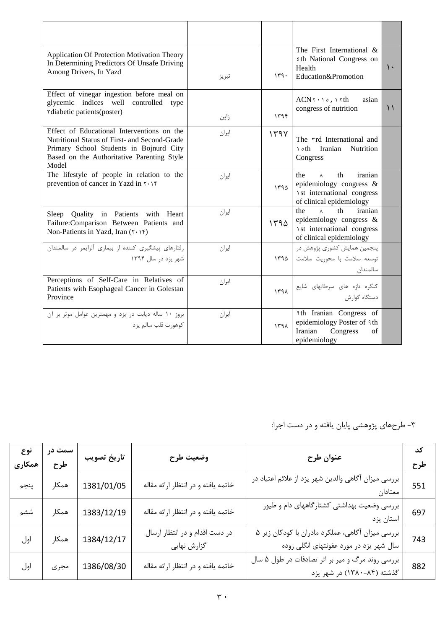| Application Of Protection Motivation Theory<br>In Determining Predictors Of Unsafe Driving<br>Among Drivers, In Yazd                                                                          | تبريز | 149. | The First International &<br><b>th National Congress on</b><br>Health<br>Education&Promotion                              | $\mathcal{L}$ |
|-----------------------------------------------------------------------------------------------------------------------------------------------------------------------------------------------|-------|------|---------------------------------------------------------------------------------------------------------------------------|---------------|
| Effect of vinegar ingestion before meal on<br>glycemic indices well controlled<br>type<br><i>rdiabetic patients (poster)</i>                                                                  | ژاپن  | 1195 | $ACN$ ۲۰۱ $\circ$ , ۱۲th<br>asian<br>congress of nutrition                                                                | $\setminus$   |
| Effect of Educational Interventions on the<br>Nutritional Status of First- and Second-Grade<br>Primary School Students in Bojnurd City<br>Based on the Authoritative Parenting Style<br>Model | ايران | 149Y | The rrd International and<br>Iranian<br>Nutrition<br>th ۱<br>Congress                                                     |               |
| The lifestyle of people in relation to the<br>prevention of cancer in Yazd in ٢٠١۴                                                                                                            | ايران | 1590 | the<br>th<br>iranian<br>$\lambda$<br>epidemiology congress $\&$<br>\st international congress<br>of clinical epidemiology |               |
| Sleep Quality in Patients<br>with Heart<br>Failure:Comparison Between Patients and<br>Non-Patients in Yazd, Iran $( \tau \cdot )^*$                                                           | ايران | ۱۳۹۵ | the<br>$\lambda$<br>th<br>iranian<br>epidemiology congress $\&$<br>\st international congress<br>of clinical epidemiology |               |
| رفتارهای پیشگیری کننده از بیماری آلزایمر در سالمندان<br>شهر یزد در سال ۱۳۹۴                                                                                                                   | ايران | ۱۳۹۵ | پنجمین همایش کشوری پژوهش در<br>توسعه سلامت با محوريت سلامت<br>سالمندان                                                    |               |
| Perceptions of Self-Care in Relatives of<br>Patients with Esophageal Cancer in Golestan<br>Province                                                                                           | ايران | 1591 | كنگره تازه هاى سرطانهاى شايع<br>دستگاه گوارش                                                                              |               |
| بروز ١٠ ساله ديابت در يزد و مهمترين عوامل موثر بر آن<br>كوهورت قلب سالم يزد                                                                                                                   | ايران | ۱۳۹۸ | <b>4th Iranian Congress of</b><br>epidemiology Poster of <i>Ath</i><br>Iranian<br>Congress<br>οf<br>epidemiology          |               |

-3 طرحهاي پژوهشی پایان یافته و در دست اجرا:

| نوع<br>همكارى | سمت در<br>طرح | تاريخ تصويب | وضعيت طرح                                     | عنوان طرح                                                                                   | کد<br>طرح |
|---------------|---------------|-------------|-----------------------------------------------|---------------------------------------------------------------------------------------------|-----------|
| پنجم          | همكار         | 1381/01/05  | خاتمه يافته و در انتظار ارائه مقاله           | بررسی میزان آگاهی والدین شهر یزد از علائم اعتیاد در<br>معتادان                              | 551       |
| ششم           | همكار         | 1383/12/19  | خاتمه يافته و در انتظار ارائه مقاله           | بررسی وضعیت بهداشتی کشتارگاههای دام و طیور<br>استان يزد                                     | 697       |
| اول           | همكار         | 1384/12/17  | در دست اقدام و در انتظار ارسال<br>گزارش نهایی | بررسی میزان آگاهی، عملکرد مادران با کودکان زیر ۵<br>سال شهر یزد در مورد عفونتهای انگلی روده | 743       |
| اول           | مجرى          | 1386/08/30  | خاتمه يافته و در انتظار ارائه مقاله           | بررسی روند مرگ و میر بر اثر تصادفات در طول ۵ سال<br>گذشته (۸۴-۱۳۸۰) در شهر یزد              | 882       |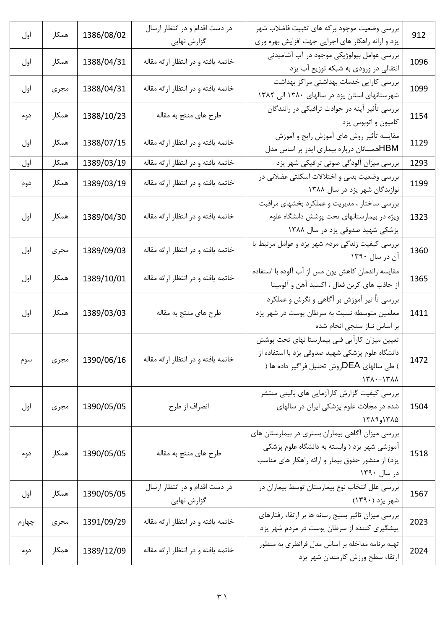| اول   | همكار | 1386/08/02 | در دست اقدام و در انتظار ارسال      | بررسی وضعیت موجود بركه های تثبیت فاضلاب شهر                                          | 912  |
|-------|-------|------------|-------------------------------------|--------------------------------------------------------------------------------------|------|
|       |       |            | گزارش نهایی                         | یزد و ارائه راهکار های اجرایی جهت افزایش بهره وری                                    |      |
| اول   | همكار | 1388/04/31 | خاتمه يافته و در انتظار ارائه مقاله | بررسی عوامل بیولوژیکی موجود در آب آشامیدنی                                           | 1096 |
|       |       |            |                                     | انتقالی در ورودی به شبکه توزیع آب یزد                                                |      |
| اول   | مجرى  | 1388/04/31 | خاتمه یافته و در انتظار ارائه مقاله | بررسی کارایی خدمات بهداشتی مراکز بهداشت                                              | 1099 |
|       |       |            |                                     | شهرستانهای استان یزد در سالهای ۱۳۸۰ الی ۱۳۸۲                                         |      |
| دوم   | همكار | 1388/10/23 | طرح های منتج به مقاله               | بررسی تأثیر آپنه در حوادث ترافیکی در رانندگان                                        | 1154 |
|       |       |            |                                     | كاميون و اتوبوس يزد                                                                  |      |
| اول   | همكار | 1388/07/15 | خاتمه يافته و در انتظار ارائه مقاله | مقایسه تأثیر روش های آموزش رایج و آموزش<br>HBMهمسانان درباره بیماری ایدز بر اساس مدل | 1129 |
| اول   | همكار | 1389/03/19 | خاتمه یافته و در انتظار ارائه مقاله | بررسی میزان آلودگی صوتی ترافیکی شهر یزد                                              | 1293 |
|       |       |            |                                     | بررسی وضعیت بدنی و اختلالات اسکلتی عضلانی در                                         |      |
| دوم   | همكار | 1389/03/19 | خاتمه يافته و در انتظار ارائه مقاله | نوازندگان شهر یزد در سال ۱۳۸۸                                                        | 1199 |
|       |       |            |                                     | بررسی ساختار ، مدیریت و عملکرد بخشهای مراقبت                                         |      |
| اول   | همكار | 1389/04/30 | خاتمه یافته و در انتظار ارائه مقاله | ویژه در بیمارستانهای تحت پوشش دانشگاه علوم                                           | 1323 |
|       |       |            |                                     | پزشکی شهید صدوقی یزد در سال ۱۳۸۸                                                     |      |
|       |       |            |                                     | بررسی کیفیت زندگی مردم شهر یزد و عوامل مرتبط با                                      |      |
| اول   | مجرى  | 1389/09/03 | خاتمه یافته و در انتظار ارائه مقاله | آن در سال ۱۳۹۰                                                                       | 1360 |
|       |       |            |                                     | مقایسه راندمان کاهش یون مس از آب آلوده با استفاده                                    |      |
| اول   | همكار | 1389/10/01 | خاتمه یافته و در انتظار ارائه مقاله | از جاذب های کربن فعال ، اکسید آهن و آلومینا                                          | 1365 |
|       |       |            |                                     | بررسی تأ ثیر آموزش بر أگاهی و نگرش و عملکرد                                          |      |
| اول   | همكار | 1389/03/03 | طرح های منتج به مقاله               | معلمین متوسطه نسبت به سرطان پوست در شهر یزد                                          | 1411 |
|       |       |            |                                     | بر اساس نیاز سنجی انجام شده                                                          |      |
|       |       |            |                                     | تعیین میزان کارآیی فنی بیمارستا نهای تحت پوشش                                        |      |
|       |       | 1390/06/16 | خاتمه يافته و در انتظار ارائه مقاله | دانشگاه علوم پزشکی شهید صدوقی یزد با استفاده از                                      | 1472 |
| سوم   | مجرى  |            |                                     | ) طی سالهای DEAروش تحلیل فراگیر داده ها (                                            |      |
|       |       |            |                                     | $\lambda \lambda^*$ /                                                                |      |
|       |       |            |                                     | بررسی کیفیت گزارش کارآزمایی های بالینی منتشر                                         |      |
| اول   | مجرى  | 1390/05/05 | انصراف از طرح                       | شده در مجلات علوم پزشکی ایران در سالهای                                              | 1504 |
|       |       |            |                                     | ١٣٨٩و١٣٨٩                                                                            |      |
|       |       |            |                                     | بررسی میزان آگاهی بیماران بستری در بیمارستان های                                     |      |
| دوم   | همكار | 1390/05/05 | طرح های منتج به مقاله               | آموزشی شهر یزد ( وابسته به دانشگاه علوم پزشکی                                        | 1518 |
|       |       |            |                                     | یزد) از منشور حقوق بیمار و ارائه راهکار های مناسب                                    |      |
|       |       |            |                                     | در سال ۱۳۹۰                                                                          |      |
| اول   | همكار | 1390/05/05 | در دست اقدام و در انتظار ارسال      | بررسی علل انتخاب نوع بیمارستان توسط بیماران در                                       | 1567 |
|       |       |            | گزارش نهایی                         | شهر یزد (۱۳۹۰)                                                                       |      |
| چهارم | مجرى  | 1391/09/29 | خاتمه يافته و در انتظار ارائه مقاله | بررسی میزان تاثیر بسیج رسانه ها بر ارتقاء رفتارهای                                   | 2023 |
|       |       |            |                                     | پیشگیری کننده از سرطان پوست در مردم شهر یزد                                          |      |
| دوم   | همكار | 1389/12/09 | خاتمه یافته و در انتظار ارائه مقاله | تهیه برنامه مداخله بر اساس مدل فرانظری به منظور                                      | 2024 |
|       |       |            |                                     | ارتقاء سطح ورزش كارمندان شهر يزد                                                     |      |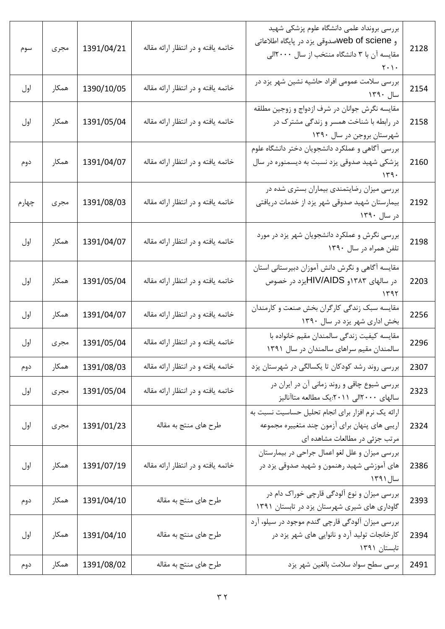| سوم   | مجرى  | 1391/04/21 | خاتمه یافته و در انتظار ارائه مقاله | بررسی برونداد علمی دانشگاه علوم پزشکی شهید<br>و web of scieneسدوقي يزد در پايگاه اطلاعاتي<br>مقایسه آن با ۳ دانشگاه منتخب از سال ۲۰۰۰الی<br>$\mathbf{r} \cdot \mathbf{r}$ | 2128 |
|-------|-------|------------|-------------------------------------|---------------------------------------------------------------------------------------------------------------------------------------------------------------------------|------|
| اول   | همكار | 1390/10/05 | خاتمه یافته و در انتظار ارائه مقاله | بررسی سلامت عمومی افراد حاشیه نشین شهر یزد در<br>سال ۱۳۹۰                                                                                                                 | 2154 |
| اول   | همكار | 1391/05/04 | خاتمه یافته و در انتظار ارائه مقاله | مقایسه نگرش جوانان در شرف ازدواج و زوجین مطلقه<br>در رابطه با شناخت همسر و زندگی مشترک در<br>شهرستان بروجن در سال ۱۳۹۰                                                    | 2158 |
| دوم   | همكار | 1391/04/07 | خاتمه یافته و در انتظار ارائه مقاله | بررسی آگاهی و عملکرد دانشجویان دختر دانشگاه علوم<br>پزشکی شهید صدوقی یزد نسبت به دیسمنوره در سال                                                                          | 2160 |
| چهارم | مجرى  | 1391/08/03 | خاتمه یافته و در انتظار ارائه مقاله | بررسی میزان رضایتمندی بیماران بستری شده در<br>بیمارستان شهید صدوقی شهر یزد از خدمات دریافتی<br>در سال ۱۳۹۰                                                                | 2192 |
| اول   | همكار | 1391/04/07 | خاتمه یافته و در انتظار ارائه مقاله | بررسی نگرش و عملکرد دانشجویان شهر یزد در مورد<br>تلفن همراه در سال ۱۳۹۰                                                                                                   | 2198 |
| اول   | همكار | 1391/05/04 | خاتمه یافته و در انتظار ارائه مقاله | مقایسه آگاهی و نگرش دانش آموزان دبیرستانی استان<br>در سالهای ۱۳۸۳و HIV/AIDSیزد در خصوص                                                                                    | 2203 |
| اول   | همكار | 1391/04/07 | خاتمه یافته و در انتظار ارائه مقاله | مقایسه سبک زندگی کارگران بخش صنعت و کارمندان<br>بخش اداری شهر یزد در سال ۱۳۹۰                                                                                             | 2256 |
| اول   | مجرى  | 1391/05/04 | خاتمه یافته و در انتظار ارائه مقاله | مقايسه كيفيت زندگي سالمندان مقيم خانواده با<br>سالمندان مقیم سراهای سالمندان در سال ۱۳۹۱                                                                                  | 2296 |
| دوم   | همكار | 1391/08/03 | خاتمه یافته و در انتظار ارائه مقاله | بررسی روند رشد کودکان تا یکسالگی در شهرستان یزد                                                                                                                           | 2307 |
| اول   | مجرى  | 1391/05/04 | خاتمه يافته و در انتظار ارائه مقاله | بررسی شیوع چاقی و روند زمانی آن در ایران در<br>سالهای ۲۰۰۰الی ۲۰۱۱:یک مطالعه متاآنالیز                                                                                    | 2323 |
| اول   | مجرى  | 1391/01/23 | طرح های منتج به مقاله               | ارائه یک نرم افزار برای انجام تحلیل حساسیت نسبت به<br>اریبی های پنهان برای آزمون چند متغییره مجموعه<br>مرتب جزئی در مطالعات مشاهده ای                                     | 2324 |
| اول   | همكار | 1391/07/19 | خاتمه یافته و در انتظار ارائه مقاله | بررسی میزان و علل لغو اعمال جراحی در بیمارستان<br>های آموزشی شهید رهنمون و شهید صدوقی یزد در<br>سال ۱۳۹۱                                                                  | 2386 |
| دوم   | همكار | 1391/04/10 | طرح های منتج به مقاله               | بررسی میزان و نوع آلودگی قارچی خوراک دام در<br>گاوداری های شیری شهرستان یزد در تابستان ۱۳۹۱                                                                               | 2393 |
| اول   | همكار | 1391/04/10 | طرح های منتج به مقاله               | بررسی میزان آلودگی قارچی گندم موجود در سیلو، آرد<br>کارخانجات تولید آرد و نانوایی های شهر یزد در<br>تابستان ۱۳۹۱                                                          | 2394 |
| دوم   | همكار | 1391/08/02 | طرح های منتج به مقاله               | برسي سطح سواد سلامت بالغين شهر يزد                                                                                                                                        | 2491 |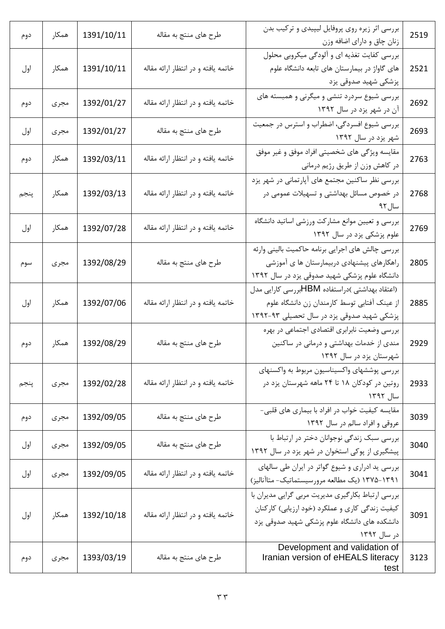| دوم  | همكار | 1391/10/11 | طرح های منتج به مقاله               | بررسی اثر زیره روی پروفایل لیپیدی و ترکیب بدن<br>زنان چاق و دارای اضافه وزن                                                                                          | 2519 |
|------|-------|------------|-------------------------------------|----------------------------------------------------------------------------------------------------------------------------------------------------------------------|------|
| اول  | همكار | 1391/10/11 | خاتمه يافته و در انتظار ارائه مقاله | بررسی کفایت تغذیه ای و آلودگی میکروبی محلول<br>های گاواژ در بیمارستان های تابعه دانشگاه علوم<br>پزشکی شهید صدوقی یزد                                                 | 2521 |
| دوم  | مجرى  | 1392/01/27 | خاتمه یافته و در انتظار ارائه مقاله | بررسی شیوع سردرد تنشی و میگرنی و همبسته های<br>آن در شهر یزد در سال ۱۳۹۲                                                                                             | 2692 |
| اول  | مجرى  | 1392/01/27 | طرح های منتج به مقاله               | بررسی شیوع افسردگی، اضطراب و استرس در جمعیت<br>شهر یزد در سال ۱۳۹۲                                                                                                   | 2693 |
| دوم  | همكار | 1392/03/11 | خاتمه یافته و در انتظار ارائه مقاله | مقایسه ویژگی های شخصیتی افراد موفق و غیر موفق<br>در کاهش وزن از طریق رژیم درمانی                                                                                     | 2763 |
| پنجم | همكار | 1392/03/13 | خاتمه يافته و در انتظار ارائه مقاله | بررسی نظر ساکنین مجتمع های آپارتمانی در شهر یزد<br>در خصوص مسائل بهداشتی و تسهیلات عمومی در<br>سال ۹۲                                                                | 2768 |
| اول  | همكار | 1392/07/28 | خاتمه یافته و در انتظار ارائه مقاله | بررسی و تعیین موانع مشارکت ورزشی اساتید دانشگاه<br>علوم پزشکی یزد در سال ۱۳۹۲                                                                                        | 2769 |
| سوم  | مجرى  | 1392/08/29 | طرح های منتج به مقاله               | بررسی چالش های اجرایی برنامه حاکمیت بالینی وارئه<br>راهکارهای پیشنهادی دربیمارستان ها ی آموزشی<br>دانشگاه علوم پزشکی شهید صدوقی یزد در سال ۱۳۹۲                      | 2805 |
| اول  | همكار | 1392/07/06 | خاتمه یافته و در انتظار ارائه مقاله | (اعتقاد بهداشتی )دراستفاده HBMبررسی کارایی مدل<br>از عینک آفتابی توسط کارمندان زن دانشگاه علوم<br>پزشکی شهید صدوقی یزد در سال تحصیلی ۹۳-۱۳۹۲                         | 2885 |
| دوم  | همكار | 1392/08/29 | طرح های منتج به مقاله               | بررسی وضعیت نابرابری اقتصادی اجتماعی در بهره<br>مندی از خدمات بهداشتی و درمانی در ساکنین<br>شهرستان یزد در سال ۱۳۹۲                                                  | 2929 |
| پنجم | مجرى  | 1392/02/28 | خاتمه یافته و در انتظار ارائه مقاله | بررسی پوششهای واکسیناسیون مربوط به واکسنهای<br>روتین در کودکان ۱۸ تا ۲۴ ماهه شهرستان پزد در<br>سال ۱۳۹۲                                                              | 2933 |
| دوم  | مجرى  | 1392/09/05 | طرح های منتج به مقاله               | مقایسه کیفیت خواب در افراد با بیماری های قلبی-<br>عروقی و افراد سالم در سال ۱۳۹۲                                                                                     | 3039 |
| اول  | مجرى  | 1392/09/05 | طرح های منتج به مقاله               | بررسی سبک زندگی نوجوانان دختر در ارتباط با<br>پیشگیری از پوکی استخوان در شهر یزد در سال ۱۳۹۲                                                                         | 3040 |
| اول  | مجرى  | 1392/09/05 | خاتمه یافته و در انتظار ارائه مقاله | بررسی ید ادراری و شیوع گواتر در ایران طی سالهای<br>۱۳۱۱–۱۳۷۵ (یک مطالعه مرورسیستماتیک- متاآنالیز)                                                                    | 3041 |
| اول  | همكار | 1392/10/18 | خاتمه يافته و در انتظار ارائه مقاله | بررسی ارتباط بکارگیری مدیریت مربی گرایی مدیران با<br>کیفیت زندگی کاری و عملکرد (خود ارزیابی) کارکنان<br>دانشکده های دانشگاه علوم پزشکی شهید صدوقی یزد<br>در سال ۱۳۹۲ | 3091 |
| دوم  | مجرى  | 1393/03/19 | طرح های منتج به مقاله               | Development and validation of<br>Iranian version of eHEALS literacy<br>test                                                                                          | 3123 |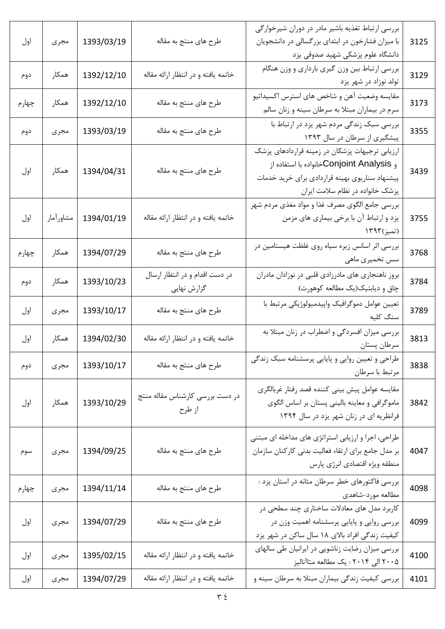| اول   | مجرى      | 1393/03/19 | طرح های منتج به مقاله                         | بررسی ارتباط تغذیه باشیر مادر در دوران شیرخوارگی<br>با میزان فشارخون در ابتدای بزرگسالی در دانشجویان<br>دانشگاه علوم پزشکی شهید صدوقی یزد                                          | 3125 |
|-------|-----------|------------|-----------------------------------------------|------------------------------------------------------------------------------------------------------------------------------------------------------------------------------------|------|
| دوم   | همكار     | 1392/12/10 | خاتمه یافته و در انتظار ارائه مقاله           | بررسی ارتباط بین وزن گیری بارداری و وزن هنگام<br>تولد نوزاد در شهر یزد                                                                                                             | 3129 |
| چهارم | همكار     | 1392/12/10 | طرح های منتج به مقاله                         | مقايسه وضعيت آهن و شاخص هاى استرس اكسيداتيو<br>سرم در بیماران مبتلا به سرطان سینه و زنان سالم                                                                                      | 3173 |
| دوم   | مجرى      | 1393/03/19 | طرح های منتج به مقاله                         | بررسی سبک زندگی مردم شهر یزد در ارتباط با<br>پیشگیری از سرطان در سال ۱۳۹۳                                                                                                          | 3355 |
| اول   | همكار     | 1394/04/31 | طرح های منتج به مقاله                         | ارزیابی ترجیهات پزشکان در زمینه قراردادهای پزشک<br>و Conjoint Analysisتخانواده با استفاده از<br>پیشنهاد سناریوی بهینه قراردادی برای خرید خدمات<br>پزشک خانواده در نظام سلامت ایران | 3439 |
| اول   | مشاورأمار | 1394/01/19 | خاتمه یافته و در انتظار ارائه مقاله           | بررسی جامع الگوی مصرف غذا و مواد مغذی مردم شهر<br>یزد و ارتباط آن با برخی بیماری های مزمن<br>(تميز)۱۳۹۳                                                                            | 3755 |
| چهارم | همكار     | 1394/07/29 | طرح های منتج به مقاله                         | بررسی اثر اسانس زیره سیاه روی غلظت هیستامین در<br>سس تخمیری ماهی                                                                                                                   | 3768 |
| دوم   | همكار     | 1393/10/23 | در دست اقدام و در انتظار ارسال<br>گزارش نهایی | بروز ناهنجاری های مادرزادی قلبی در نوزادان مادران<br>چاق و دیابتیک(یک مطالعه کوهورت)                                                                                               | 3784 |
| اول   | مجرى      | 1393/10/17 | طرح های منتج به مقاله                         | تعيين عوامل دموگرافيک واپيدميولوژيکي مرتبط با<br>سنگ کلیه                                                                                                                          | 3789 |
| اول   | همكار     | 1394/02/30 | خاتمه يافته و در انتظار ارائه مقاله           | بررسی میزان افسردگی و اضطراب در زنان مبتلا به<br>سرطان پستان                                                                                                                       | 3813 |
| دوم   | مجرى      | 1393/10/17 | طرح های منتج به مقاله                         | طراحی و تعیین روایی و پایایی پرسشنامه سبک زندگی<br>مرتبط با سرطان                                                                                                                  | 3838 |
| اول   | همكار     | 1393/10/29 | در دست بررسی کارشناس مقاله منتج<br>از طرح     | مقايسه عوامل پيش بيني كننده قصد رفتار غربالگري<br>ماموگرافی و معاینه بالینی پستان بر اساس الگوی<br>فرانظریه ای در زنان شهر یزد در سال ۱۳۹۴                                         | 3842 |
| سوم   | مجرى      | 1394/09/25 | طرح های منتج به مقاله                         | طراحی، اجرا و ارزیابی استراتژی های مداخله ای مبتنی<br>بر مدل جامع برای ارتقاء فعالیت بدنی کارکنان سازمان<br>منطقه ويژه اقتصادي انرژى پارس                                          | 4047 |
| چهارم | مجرى      | 1394/11/14 | طرح های منتج به مقاله                         | بررسی فاکتورهای خطر سرطان مثانه در استان یزد :<br>مطالعه مورد-شاهدي                                                                                                                | 4098 |
| اول   | مجرى      | 1394/07/29 | طرح های منتج به مقاله                         | کاربرد مدل های معادلات ساختاری چند سطحی در<br>بررسی روایی و پایایی پرسشنامه اهمیت وزن در<br>کیفیت زندگی افراد بالای ۱۸ سال ساکن در شهر یزد                                         | 4099 |
| اول   | مجرى      | 1395/02/15 | خاتمه یافته و در انتظار ارائه مقاله           | بررسی میزان رضایت زناشویی در ایرانیان طی سالهای<br>۲۰۰۵ الی ۲۰۱۴ : یک مطالعه متاآنالیز                                                                                             | 4100 |
| اول   | مجرى      | 1394/07/29 | خاتمه یافته و در انتظار ارائه مقاله           | بررسی کیفیت زندگی بیماران مبتلا به سرطان سینه و                                                                                                                                    | 4101 |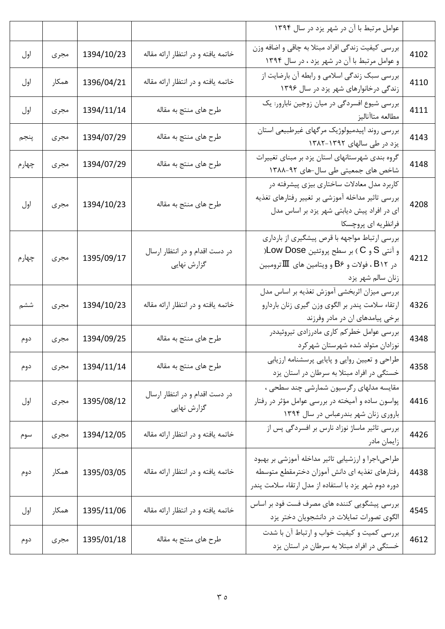|      | عوامل مرتبط با آن در شهر یزد در سال ۱۳۹۴                                                                                                                                              |                                               |            |       |       |
|------|---------------------------------------------------------------------------------------------------------------------------------------------------------------------------------------|-----------------------------------------------|------------|-------|-------|
| 4102 | بررسی کیفیت زندگی افراد مبتلا به چاقی و اضافه وزن<br>و عوامل مرتبط با آن در شهر یزد ، در سال ۱۳۹۴                                                                                     | خاتمه یافته و در انتظار ارائه مقاله           | 1394/10/23 | مجرى  | اول   |
| 4110 | بررسی سبک زندگی اسلامی و رابطه آن بارضایت از<br>زندگی درخانوارهای شهر یزد در سال ۱۳۹۶                                                                                                 | خاتمه یافته و در انتظار ارائه مقاله           | 1396/04/21 | همكار | اول   |
| 4111 | بررسی شیوع افسردگی در میان زوجین نابارور: یک<br>مطالعه متاآناليز                                                                                                                      | طرح های منتج به مقاله                         | 1394/11/14 | مجرى  | اول   |
| 4143 | بررسی روند اپیدمیولوژیک مرگهای غیرطبیعی استان<br>یزد در طی سالهای ۱۳۹۲-۱۳۸۲                                                                                                           | طرح های منتج به مقاله                         | 1394/07/29 | مجرى  | پنجم  |
| 4148 | گروه بندی شهرستانهای استان یزد بر مبنای تغییرات<br>شاخص های جمعیتی طی سال-های ۹۲-۱۳۸۸                                                                                                 | طرح های منتج به مقاله                         | 1394/07/29 | مجرى  | چهارم |
| 4208 | کاربرد مدل معادلات ساختاری بیزی پیشرفته در<br>بررسی تاثیر مداخله آموزشی بر تغییر رفتارهای تغذیه<br>ای در افراد پیش دیابتی شهر یزد بر اساس مدل<br>فرانظریه ای پروچسکا                  | طرح های منتج به مقاله                         | 1394/10/23 | مجرى  | اول   |
| 4212 | بررسی ارتباط مواجهه با قرص پیشگیری از بارداری<br>و آنتی S و C ) بر سطح پروتئین Low Dose(<br>در B۱۲ ، فولات و B۶ و ویتامین های $\hbox{I\hspace{-2.2mm}I}$ ترومبین<br>زنان سالم شهر يزد | در دست اقدام و در انتظار ارسال<br>گزارش نهایی | 1395/09/17 | مجرى  | چهارم |
| 4326 | بررسی میزان اثربخشی آموزش تغذیه بر اساس مدل<br>ارتقاء سلامت پندر بر الگوی وزن گیری زنان باردارو<br>برخی پیامدهای ان در مادر وفرزند                                                    | خاتمه یافته و در انتظار ارائه مقاله           | 1394/10/23 | مجرى  | ششم   |
| 4348 | بررسی عوامل خطرکم کاری مادرزادی تیروئیددر<br>نوزادان متولد شده شهرستان شهركرد                                                                                                         | طرح های منتج به مقاله                         | 1394/09/25 | مجرى  | دوم   |
| 4358 | طراحی و تعیین روایی و پایایی پرسشنامه ارزیابی<br>خستگی در افراد مبتلا به سرطان در استان یزد                                                                                           | طرح های منتج به مقاله                         | 1394/11/14 | مجرى  | دوم   |
| 4416 | مقایسه مدلهای رگرسیون شمارشی چند سطحی ،<br>پواسون ساده و آمیخته در بررسی عوامل مؤثر در رفتار<br>باروری زنان شهر بندرعباس در سال ١٣٩۴                                                  | در دست اقدام و در انتظار ارسال<br>گزارش نهایی | 1395/08/12 | مجرى  | اول   |
| 4426 | بررسی تاثیر ماساژ نوزاد نارس بر افسردگی پس از<br>زايمان مادر                                                                                                                          | خاتمه یافته و در انتظار ارائه مقاله           | 1394/12/05 | مجرى  | سوم   |
| 4438 | طراحی،اجرا و ارزشیابی تاثیر مداخله آموزشی بر بهبود<br>رفتارهای تغذیه ای دانش آموزان دخترمقطع متوسطه<br>دوره دوم شهر یزد با استفاده از مدل ارتقاء سلامت پندر                           | خاتمه یافته و در انتظار ارائه مقاله           | 1395/03/05 | همكار | دوم   |
| 4545 | بررسی پیشگویی کننده های مصرف فست فود بر اساس<br>الگوی تصورات تمایلات در دانشجویان دختر یزد                                                                                            | خاتمه یافته و در انتظار ارائه مقاله           | 1395/11/06 | همكار | اول   |
| 4612 | بررسی کمیت و کیفیت خواب و ارتباط آن با شدت<br>خستگی در افراد مبتلا به سرطان در استان یزد                                                                                              | طرح های منتج به مقاله                         | 1395/01/18 | مجرى  | دوم   |
|      |                                                                                                                                                                                       |                                               |            |       |       |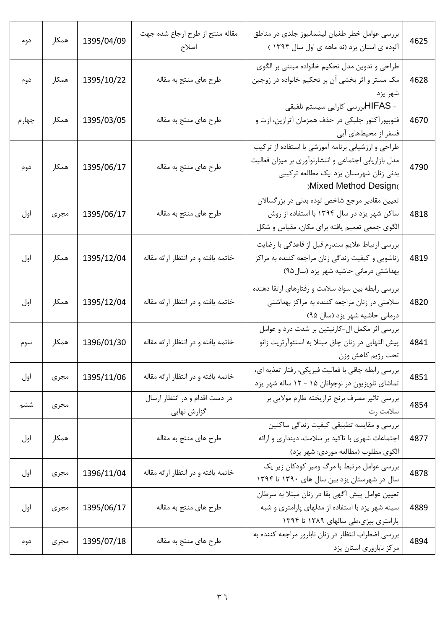| دوم   | همكار | 1395/04/09 | مقاله منتج از طرح ارجاع شده جهت<br>اصلاح      | بررسی عوامل خطر طغیان لیشمانیوز جلدی در مناطق<br>آلوده ی استان یزد (نه ماهه ی اول سال ۱۳۹۴ )                                                                                   | 4625 |
|-------|-------|------------|-----------------------------------------------|--------------------------------------------------------------------------------------------------------------------------------------------------------------------------------|------|
| دوم   | همكار | 1395/10/22 | طرح های منتج به مقاله                         | طراحی و تدوین مدل تحکیم خانواده مبتنی بر الگوی<br>مک مستر و اثر بخشی آن بر تحکیم خانواده در زوجین<br>شهر يزد                                                                   | 4628 |
| چهارم | همكار | 1395/03/05 | طرح های منتج به مقاله                         | - HIFASبررسی کارایی سیستم تلفیقی<br>فتوبیورآکتور جلبکی در حذف همزمان آترازین، ازت و<br>فسفر از محیطهای آبی                                                                     | 4670 |
| دوم   | همكار | 1395/06/17 | طرح های منتج به مقاله                         | طراحی و ارزشیابی برنامه آموزشی با استفاده از ترکیب<br>مدل بازاریابی اجتماعی و انتشارنوآوری بر میزان فعالیت<br>بدنی زنان شهرستان یزد :یک مطالعه ترکیبی<br>)Mixed Method Design( | 4790 |
| اول   | مجرى  | 1395/06/17 | طرح های منتج به مقاله                         | تعیین مقادیر مرجع شاخص توده بدنی در بزرگسالان<br>ساکن شهر یزد در سال ۱۳۹۴ با استفاده از روش<br>الگوی جمعی تعمیم یافته برای مکان، مقیاس و شکل                                   | 4818 |
| اول   | همكار | 1395/12/04 | خاتمه یافته و در انتظار ارائه مقاله           | بررسی ارتباط علایم سندرم قبل از قاعدگی با رضایت<br>زناشویی و کیفیت زندگی زنان مراجعه کننده به مراکز<br>بهداشتی درمانی حاشیه شهر یزد (سال۹۵)                                    | 4819 |
| اول   | همكار | 1395/12/04 | خاتمه يافته و در انتظار ارائه مقاله           | بررسی رابطه بین سواد سلامت و رفتارهای ارتقا دهنده<br>سلامتی در زنان مراجعه کننده به مراکز بهداشتی<br>درمانی حاشیه شهر یزد (سال ۹۵)                                             | 4820 |
| سوم   | همكار | 1396/01/30 | خاتمه یافته و در انتظار ارائه مقاله           | بررسی اثر مکمل ال-کارنیتین بر شدت درد و عوامل<br>پیش التهابی در زنان چاق مبتلا به استئوآرتریت زانو<br>تحت رژيم كاهش وزن                                                        | 4841 |
| اول   | مجرى  | 1395/11/06 | خاتمه یافته و در انتظار ارائه مقاله           | بررسی رابطه چاقی با فعالیت فیزیکی، رفتار تغذیه ای،<br>تماشای تلویزیون در نوجوانان ۱۵ - ۱۲ ساله شهر یزد                                                                         | 4851 |
| ششم   | مجرى  |            | در دست اقدام و در انتظار ارسال<br>گزارش نهایی | بررسی تاثیر مصرف برنج تراریخته طارم مولایی بر<br>سلامت رت                                                                                                                      | 4854 |
| اول   | همكار |            | طرح های منتج به مقاله                         | بررسی و مقایسه تطبیقی کیفیت زندگی ساکنین<br>اجتماعات شهری با تاکید بر سلامت، دینداری و ارائه<br>الگوی مطلوب (مطالعه موردی: شهر یزد)                                            | 4877 |
| اول   | مجرى  | 1396/11/04 | خاتمه یافته و در انتظار ارائه مقاله           | بررسی عوامل مرتبط با مرگ ومیر کودکان زیر یک<br>سال در شهرستان یزد بین سال های ۱۳۹۰ تا ۱۳۹۴                                                                                     | 4878 |
| اول   | مجرى  | 1395/06/17 | طرح های منتج به مقاله                         | تعیین عوامل پیش أگهي بقا در زنان مبتلا به سرطان<br>سینه شهر یزد با استفاده از مدلهای پارامتری و شبه<br>پارامتری بیزی،طی سالهای ۱۳۸۹ تا ۱۳۹۴                                    | 4889 |
| دوم   | مجرى  | 1395/07/18 | طرح هاي منتج به مقاله                         | بررسی اضطراب انتظار در زنان نابارور مراجعه کننده به<br>مرکز ناباروری استان یزد                                                                                                 | 4894 |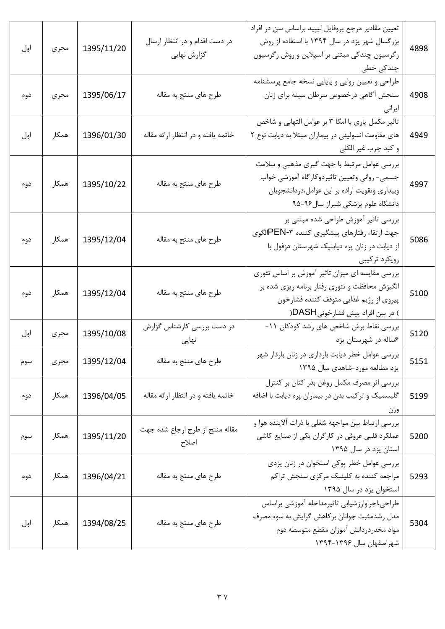| 4898 | تعیین مقادیر مرجع پروفایل لیپید براساس سن در افراد<br>بزرگسال شهر یزد در سال ۱۳۹۴ با استفاده از روش<br>رگرسیون چندکی مبتنی بر اسپلاین و روش رگرسیون<br>چندکی خطی                  | در دست اقدام و در انتظار ارسال<br>گزارش نهایی | 1395/11/20 | مجرى  | اول |
|------|-----------------------------------------------------------------------------------------------------------------------------------------------------------------------------------|-----------------------------------------------|------------|-------|-----|
| 4908 | طراحی و تعیین روایی و پایایی نسخه جامع پرسشنامه<br>سنجش أگاهي درخصوص سرطان سينه براي زنان<br>ايرانى                                                                               | طرح های منتج به مقاله                         | 1395/06/17 | مجرى  | دوم |
| 4949 | تاثیر مکمل یاری با امگا ۳ بر عوامل التهابی و شاخص<br>های مقاومت انسولینی در بیماران مبتلا به دیابت نوع ۲<br>و کبد چرب غیر الکلی                                                   | خاتمه یافته و در انتظار ارائه مقاله           | 1396/01/30 | همكار | اول |
| 4997 | بررسی عوامل مرتبط با جهت گیری مذهبی و سلامت<br>جسمی- روانی وتعیین تاثیردوکارگاه آموزشی خواب<br>وبیداری وتقویت اراده بر این عوامل،دردانشجویان<br>دانشگاه علوم پزشکی شیراز سال۹۶-۹۵ | طرح های منتج به مقاله                         | 1395/10/22 | همكار | دوم |
| 5086 | بررسی تاثیر آموزش طراحی شده مبتنی بر<br>جهت ارتقاء رفتارهاي پيشگيري كننده ٣-PENالگوي<br>از دیابت در زنان پره دیابتیک شهرستان دزفول با<br>رويكرد تركيبي                            | طرح های منتج به مقاله                         | 1395/12/04 | همكار | دوم |
| 5100 | بررسی مقایسه ای میزان تاثیر آموزش بر اساس تئوری<br>انگیزش محافظت و تئوری رفتار برنامه ریزی شده بر<br>پیروی از رژیم غذایی متوقف کننده فشارخون<br>) در بین افراد پیش فشارخونیDASH(  | طرح های منتج به مقاله                         | 1395/12/04 | همكار | دوم |
| 5120 | بررسی نقاط برش شاخص های رشد کودکان ۱۱–<br>۶ساله در شهرستان يزد                                                                                                                    | در دست بررسی کارشناس گزارش                    | 1395/10/08 | مجرى  | اول |
| 5151 | بررسی عوامل خطر دیابت بارداری در زنان باردار شهر<br>یزد مطالعه مورد-شاهدی سال ۱۳۹۵                                                                                                | طرح های منتج به مقاله                         | 1395/12/04 | مجرى  | سوم |
| 5199 | بررسی اثر مصرف مکمل روغن بذر کتان بر کنترل<br>گلیسمیک و ترکیب بدن در بیماران پره دیابت با اضافه<br>وزن                                                                            | خاتمه یافته و در انتظار ارائه مقاله           | 1396/04/05 | همكار | دوم |
| 5200 | بررسی ارتباط بین مواجهه شغلی با ذرات آلاینده هوا و<br>عملکرد قلبی عروقی در کارگران یکی از صنایع کاشی<br>استان یزد در سال ۱۳۹۵                                                     | مقاله منتج از طرح ارجاع شده جهت<br>اصلاح      | 1395/11/20 | همكار | سوم |
| 5293 | بررسی عوامل خطر پوکی استخوان در زنان پزدی<br>مراجعه کننده به کلینیک مرکزی سنجش تراکم<br>استخوان یزد در سال ۱۳۹۵                                                                   | طرح های منتج به مقاله                         | 1396/04/21 | همكار | دوم |
| 5304 | طراحى،اجراوارزشيابي تاثيرمداخله أموزشي براساس<br>مدل رشدمثبت جوانان بركاهش گرايش به سوء مصرف<br>مواد مخدردردانش آموزان مقطع متوسطه دوم<br>شهراصفهان سال ۱۳۹۶–۱۳۹۴                 | طرح های منتج به مقاله                         | 1394/08/25 | همكار | اول |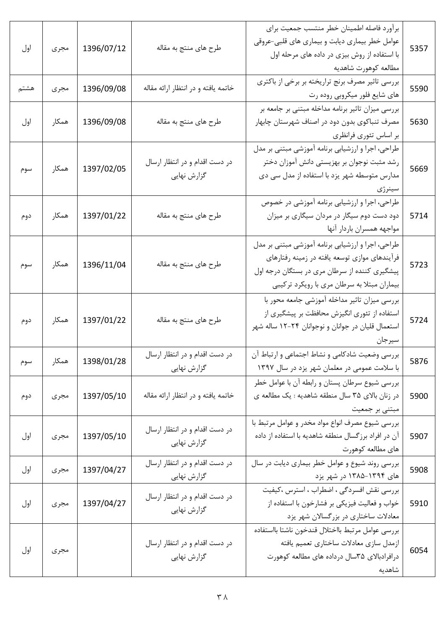| اول  | مجرى  | 1396/07/12 | طرح های منتج به مقاله                         | برأورد فاصله اطمينان خطر منتسب جمعيت براي<br>عوامل خطر بیماری دیابت و بیماری های قلبی-عروقی<br>با استفاده از روش بیزی در داده های مرحله اول<br>مطالعه كوهورت شاهديه                                | 5357 |
|------|-------|------------|-----------------------------------------------|----------------------------------------------------------------------------------------------------------------------------------------------------------------------------------------------------|------|
| هشتم | مجرى  | 1396/09/08 | خاتمه یافته و در انتظار ارائه مقاله           | بررسی تاثیر مصرف برنج تراریخته بر برخی از باکتری<br>های شایع فلور میکروبی روده رت                                                                                                                  | 5590 |
| اول  | همكار | 1396/09/08 | طرح های منتج به مقاله                         | بررسی میزان تاثیر برنامه مداخله مبتنی بر جامعه بر<br>مصرف تنباکوی بدون دود در اصناف شهرستان چابهار<br>بر اساس تئوري فرانظري                                                                        | 5630 |
| سوم  | همكار | 1397/02/05 | در دست اقدام و در انتظار ارسال<br>گزارش نهایی | طراحی، اجرا و ارزشیابی برنامه آموزشی مبتنی بر مدل<br>رشد مثبت نوجوان بر بهزیستی دانش آموزان دختر<br>مدارس متوسطه شهر یزد با استفاده از مدل سی دی<br>سينرژى                                         | 5669 |
| دوم  | همكار | 1397/01/22 | طرح های منتج به مقاله                         | طراحی، اجرا و ارزشیابی برنامه آموزشی در خصوص<br>دود دست دوم سیگار در مردان سیگاری بر میزان<br>مواجهه همسران باردار آنها                                                                            | 5714 |
| سوم  | همكار | 1396/11/04 | طرح های منتج به مقاله                         | طراحی، اجرا و ارزشیابی برنامه آموزشی مبتنی بر مدل<br>فرآیندهای موازی توسعه یافته در زمینه رفتارهای<br>پیشگیری کننده از سرطان مری در بستگان درجه اول<br>بیماران مبتلا به سرطان مری با رویکرد ترکیبی | 5723 |
| دوم  | همكار | 1397/01/22 | طرح های منتج به مقاله                         | بررسی میزان تاثیر مداخله آموزشی جامعه محور با<br>استفاده از تئوری انگیزش محافظت بر پیشگیری از<br>استعمال قلیان در جوانان و نوجوانان ۲۴-۱۲ ساله شهر<br>سيرجان                                       | 5724 |
| سوم  | همكار | 1398/01/28 | در دست اقدام و در انتظار ارسال<br>گزارش نهایی | بررسی وضعیت شادکامی و نشاط اجتماعی و ارتباط آن<br>با سلامت عمومی در معلمان شهر یزد در سال ١٣٩٧                                                                                                     | 5876 |
| دوم  | مجرى  | 1397/05/10 | خاتمه یافته و در انتظار ارائه مقاله           | بررسی شیوع سرطان پستان و رابطه آن با عوامل خطر<br>در زنان بالای ۳۵ سال منطقه شاهدیه : یک مطالعه ی<br>مبتنی بر جمعیت                                                                                | 5900 |
| اول  | مجرى  | 1397/05/10 | در دست اقدام و در انتظار ارسال<br>گزارش نهایی | بررسی شیوع مصرف انواع مواد مخدر و عوامل مرتبط با<br>آن در افراد برزگسال منطقه شاهدیه با استفاده از داده<br>های مطالعه کوهورت                                                                       | 5907 |
| اول  | مجرى  | 1397/04/27 | در دست اقدام و در انتظار ارسال<br>گزارش نهایی | بررسی روند شیوع و عوامل خطر بیماری دیابت در سال<br>های ۱۳۹۴–۱۳۸۵ در شهر یزد                                                                                                                        | 5908 |
| اول  | مجرى  | 1397/04/27 | در دست اقدام و در انتظار ارسال<br>گزارش نهایی | بررسی نقش افسردگی ، اضطراب ، استرس ،کیفیت<br>خواب و فعالیت فیزیکی بر فشارخون با استفاده از<br>معادلات ساختاری در بزرگسالان شهر یزد                                                                 | 5910 |
| اول  | مجرى  |            | در دست اقدام و در انتظار ارسال<br>گزارش نهایی | بررسي عوامل مرتبط بااختلال قندخون ناشتا بااستفاده<br>ازمدل سازي معادلات ساختاري تعميم يافته<br>درافرادبالای ۳۵سال درداده های مطالعه کوهورت<br>شاهديه                                               | 6054 |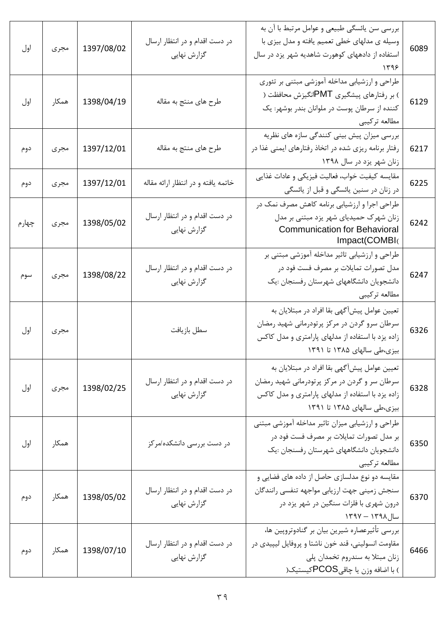| اول   | مجرى  | 1397/08/02 | در دست اقدام و در انتظار ارسال<br>گزارش نهایی | بررسی سن یائسگی طبیعی و عوامل مرتبط با آن به<br>وسیله ی مدلهای خطی تعمیم یافته و مدل بیزی با<br>استفاده از دادههای کوهورت شاهدیه شهر یزد در سال<br>۱۳۹۶                           | 6089 |
|-------|-------|------------|-----------------------------------------------|-----------------------------------------------------------------------------------------------------------------------------------------------------------------------------------|------|
| اول   | همكار | 1398/04/19 | طرح های منتج به مقاله                         | طراحی و ارزشیابی مداخله آموزشی مبتنی بر تئوری<br>) بر رفتارهای پیشگیری PMTانگیزش محافظت (<br>کننده از سرطان پوست در ملوانان بندر بوشهر: یک<br>مطالعه تركيبي                       | 6129 |
| دوم   | مجرى  | 1397/12/01 | طرح های منتج به مقاله                         | بررسی میزان پیش بینی کنندگی سازه های نظریه<br>رفتار برنامه ریزی شده در اتخاذ رفتارهای ایمنی غذا در<br>زنان شهر یزد در سال ۱۳۹۸                                                    | 6217 |
| دوم   | مجرى  | 1397/12/01 | خاتمه یافته و در انتظار ارائه مقاله           | مقايسه كيفيت خواب، فعاليت فيزيكي و عادات غذايي<br>در زنان در سنین یائسگی و قبل از یائسگی                                                                                          | 6225 |
| چهارم | مجرى  | 1398/05/02 | در دست اقدام و در انتظار ارسال<br>گزارش نهایی | طراحی اجرا و ارزشیابی برنامه کاهش مصرف نمک در<br>زنان شهرک حمیدیای شهر یزد مبتنی بر مدل<br><b>Communication for Behavioral</b><br>Impact(COMBI(                                   | 6242 |
| سوم   | مجرى  | 1398/08/22 | در دست اقدام و در انتظار ارسال<br>گزارش نهایی | طراحی و ارزشیابی تاثیر مداخله آموزشی مبتنی بر<br>مدل تصورات تمایلات بر مصرف فست فود در<br>دانشجویان دانشگاههای شهرستان رفسنجان :یک<br>مطالعه تركيبي                               | 6247 |
| اول   | مجرى  |            | سطل بازيافت                                   | تعیین عوامل پیشأگهی بقا افراد در مبتلایان به<br>سرطان سرو گردن در مرکز پرتودرمانی شهید رمضان<br>زاده یزد با استفاده از مدلهای پارامتری و مدل کاکس<br>بیزی،طی سالهای ۱۳۸۵ تا ۱۳۹۱  | 6326 |
| اول   | مجرى  | 1398/02/25 | در دست اقدام و در انتظار ارسال<br>گزارش نهایی | تعیین عوامل پیشآگهی بقا افراد در مبتلایان به<br>سرطان سر و گردن در مرکز پرتودرمانی شهید رمضان<br>زاده یزد با استفاده از مدلهای پارامتری و مدل کاکس<br>بیزی،طی سالهای ۱۳۸۵ تا ۱۳۹۱ | 6328 |
| اول   | همكار |            | در دست بررسی دانشکده/مرکز                     | طراحی و ارزشیابی میزان تاثیر مداخله آموزشی مبتنی<br>بر مدل تصورات تمایلات بر مصرف فست فود در<br>دانشجویان دانشگاههای شهرستان رفسنجان :یک<br>مطالعه تركيبي                         | 6350 |
| دوم   | همكار | 1398/05/02 | در دست اقدام و در انتظار ارسال<br>گزارش نهایی | مقایسه دو نوع مدلسازی حاصل از داده های فضایی و<br>سنجش زميني جهت ارزيابي مواجهه تنفسي رانندگان<br>درون شهری با فلزات سنگین در شهر یزد در<br>سال۱۳۹۸ – ۱۳۹۷                        | 6370 |
| دوم   | همكار | 1398/07/10 | در دست اقدام و در انتظار ارسال<br>گزارش نهایی | بررسی تأثیرعصاره شیرین بیان بر گنادوتروپین ها،<br>مقاومت انسولینی، قند خون ناشتا و پروفایل لیپیدی در<br>زنان مبتلا به سندروم تخمدان پلي<br>) با اضافه وزن یا چاقیPCOSکیستیک(      | 6466 |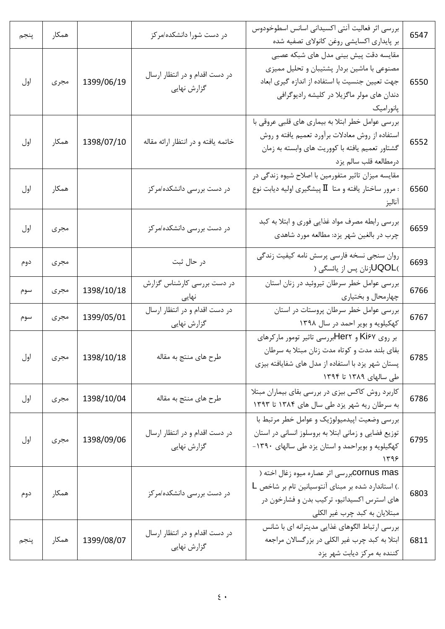| پنجم | همكار |            | در دست شورا دانشکده/مرکز                      | بررسی اثر فعالیت آنتی اکسیدانی اسانس اسطوخودوس<br>بر پایداری اکسایشی روغن کانولای تصفیه شده                                                                                                        | 6547 |
|------|-------|------------|-----------------------------------------------|----------------------------------------------------------------------------------------------------------------------------------------------------------------------------------------------------|------|
| اول  | مجرى  | 1399/06/19 | در دست اقدام و در انتظار ارسال<br>گزارش نهایی | مقایسه دقت پیش بینی مدل های شبکه عصبی<br>مصنوعی با ماشین بردار پشتیبان و تحلیل ممیزی<br>جهت تعیین جنسیت با استفاده از اندازه گیری ابعاد<br>دندان های مولر ماگزیلا در کلیشه رادیوگرافی<br>پانورامیک | 6550 |
| اول  | همكار | 1398/07/10 | خاتمه یافته و در انتظار ارائه مقاله           | بررسی عوامل خطر ابتلا به بیماری های قلبی عروقی با<br>استفاده از روش معادلات برآورد تعميم يافته و روش<br>گشتاور تعمیم یافته با کووریت های وابسته به زمان<br>درمطالعه قلب سالم يزد                   | 6552 |
| اول  | همكار |            | در دست بررسی دانشکده/مرکز                     | مقایسه میزان تاثیر متفورمین با اصلاح شیوه زندگی در<br>مرور ساختار یافته و متا $\rm I\hspace{-.1em}I$ پیشگیری اولیه دیابت نوع :<br>اناليز                                                           | 6560 |
| اول  | مجرى  |            | در دست بررسی دانشکده/مرکز                     | بررسی رابطه مصرف مواد غذایی فوری و ابتلا به کبد<br>چرب در بالغین شهر یزد: مطالعه مورد شاهدی                                                                                                        | 6659 |
| دوم  | مجرى  |            | در حال ثبت                                    | روان سنجي نسخه فارسي پرسش نامه كيفيت زندگي<br>)UQOL(نان پس از یائسگی (                                                                                                                             | 6693 |
| سوم  | مجرى  | 1398/10/18 | در دست بررسی کارشناس گزارش<br>نهایی           | بررسی عوامل خطر سرطان تیروئید در زنان استان<br>چهارمحال و بختیاری                                                                                                                                  | 6766 |
| سوم  | مجرى  | 1399/05/01 | در دست اقدام و در انتظار ارسال<br>گزارش نهایی | بررسی عوامل خطر سرطان پروستات در استان<br>کهکیلویه و بویر احمد در سال ۱۳۹۸                                                                                                                         | 6767 |
| اول  | مجرى  | 1398/10/18 | طرح های منتج به مقاله                         | بر روی Ki۶۷ و Her۲بررسی تاثیر تومور مارکرهای<br>بقای بلند مدت و کوتاه مدت زنان مبتلا به سرطان<br>پستان شهر یزد با استفاده از مدل های شفایافته بیزی<br>طی سالهای ۱۳۸۹ تا ۱۳۹۴                       | 6785 |
| اول  | مجرى  | 1398/10/04 | طرح های منتج به مقاله                         | کاربرد روش کاکس بیزی در بررسی بقای بیماران مبتلا<br>به سرطان ریه شهر یزد طی سال های ۱۳۸۴ تا ۱۳۹۳                                                                                                   | 6786 |
| اول  | مجرى  | 1398/09/06 | در دست اقدام و در انتظار ارسال<br>گزارش نهایی | بررسی وضعیت اپیدمیولوژیک و عوامل خطر مرتبط با<br>توزیع فضایی و زمانی ابتلا به بروسلوز انسانی در استان<br>کهگیلویه و بویراحمد و استان یزد طی سالهای ١٣٩٠-<br>۱۳۹۶                                   | 6795 |
| دوم  | همكار |            | در دست بررسی دانشکده/مرکز                     | COrnus masبررسی اثر عصاره میوه زغال اخته (<br>.) استاندارد شده بر مبنای آنتوسیانین تام بر شاخص L<br>های استرس اکسیداتیو، ترکیب بدن و فشارخون در<br>مبتلایان به کبد چرب غیر الکلی                   | 6803 |
| پنجم | همكار | 1399/08/07 | در دست اقدام و در انتظار ارسال<br>گزارش نهایی | بررسی ارتباط الگوهای غذایی مدیترانه ای با شانس<br>ابتلا به کبد چرب غیر الکلی در بزرگسالان مراجعه<br>کننده به مرکز دیابت شهر یزد                                                                    | 6811 |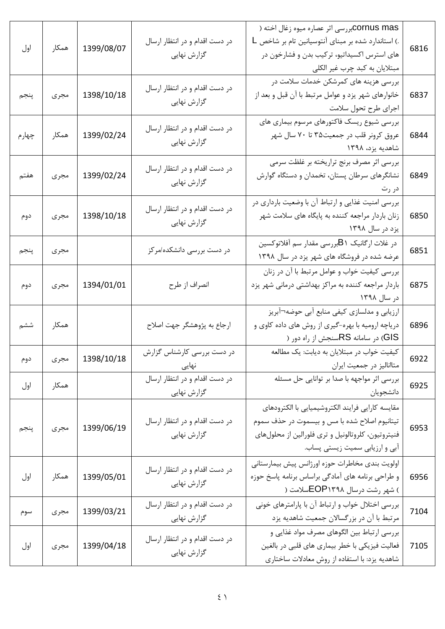| اول   | همكار | 1399/08/07 | در دست اقدام و در انتظار ارسال<br>گزارش نهایی | COrnus masبررسی اثر عصاره میوه زغال اخته (<br>.) استاندارد شده بر مبنای آنتوسیانین تام بر شاخص L<br>های استرس اکسیداتیو، ترکیب بدن و فشارخون در<br>مبتلایان به کبد چرب غیر الکلی          | 6816 |
|-------|-------|------------|-----------------------------------------------|-------------------------------------------------------------------------------------------------------------------------------------------------------------------------------------------|------|
| پنجم  | مجرى  | 1398/10/18 | در دست اقدام و در انتظار ارسال<br>گزارش نهایی | بررسی هزینه های کمرشکن خدمات سلامت در<br>خانوارهای شهر یزد و عوامل مرتبط با آن قبل و بعد از<br>اجرای طرح تحول سلامت                                                                       | 6837 |
| چهارم | همكار | 1399/02/24 | در دست اقدام و در انتظار ارسال<br>گزارش نهایی | بررسی شیوع ریسک فاکتورهای مرسوم بیماری های<br>عروق کرونر قلب در جمعیت۳۵ تا ۷۰ سال شهر<br>شاهدیه یزد، ۱۳۹۸                                                                                 | 6844 |
| هفتم  | مجرى  | 1399/02/24 | در دست اقدام و در انتظار ارسال<br>گزارش نهایی | بررسی اثر مصرف برنج تراریخته بر غلظت سرمی<br>نشانگرهای سرطان پستان، تخمدان و دستگاه گوارش<br>در رت                                                                                        | 6849 |
| دوم   | مجرى  | 1398/10/18 | در دست اقدام و در انتظار ارسال<br>گزارش نهایی | بررسی امنیت غذایی و ارتباط آن با وضعیت بارداری در<br>زنان باردار مراجعه کننده به پایگاه های سلامت شهر<br>یزد در سال ۱۳۹۸                                                                  | 6850 |
| پنجم  | مجرى  |            | در دست بررسی دانشکده/مرکز                     | در غلات ارگانیک B۱بررسی مقدار سم آفلاتوکسین<br>عرضه شده در فروشگاه های شهر یزد در سال ۱۳۹۸                                                                                                | 6851 |
| دوم   | مجرى  | 1394/01/01 | انصراف از طرح                                 | بررسی کیفیت خواب و عوامل مرتبط با آن در زنان<br>باردار مراجعه کننده به مراکز بهداشتی درمانی شهر یزد<br>در سال ۱۳۹۸                                                                        | 6875 |
| ششم   | همكار |            | ارجاع به پژوهشگر جهت اصلاح                    | ارزیابی و مدلسازی کیفی منابع أبی حوضه¬أبريز<br>دریاچه ارومیه با بهره-گیری از روش های داده کاوی و<br>GIS) در سامانه RSسنجش از راه دور (                                                    | 6896 |
| دوم   | مجرى  | 1398/10/18 | در دست بررسی کارشناس گزارش<br>نهایی           | کیفیت خواب در مبتلایان به دیابت: یک مطالعه<br>متاانالیز در جمعیت ایران                                                                                                                    | 6922 |
| اول   | همكار |            | در دست اقدام و در انتظار ارسال<br>گزارش نهایی | بررسی اثر مواجهه با صدا بر توانایی حل مسئله<br>دانشجويان                                                                                                                                  | 6925 |
| پنجم  | مجرى  | 1399/06/19 | در دست اقدام و در انتظار ارسال<br>گزارش نهایی | مقايسه كارايي فرايند الكتروشيميايي با الكترودهاي<br>تیتانیوم اصلاح شده با مس و بیسموت در حذف سموم<br>فنیتروتیون، کلروتالونیل و تری فلورالین از محلولهای<br>آبی و ارزیابی سمیت زیستی پساب. | 6953 |
| اول   | همكار | 1399/05/01 | در دست اقدام و در انتظار ارسال<br>گزارش نهایی | اولويت بندى مخاطرات حوزه اورژانس پيش بيمارستاني<br>و طراحی برنامه های آمادگی براساس برنامه پاسخ حوزه<br>) شهر رشت درسال EOP۱۳۹۸سلامت (                                                    | 6956 |
| سوم   | مجرى  | 1399/03/21 | در دست اقدام و در انتظار ارسال<br>گزارش نهایی | بررسی اختلال خواب و ارتباط آن با پارامترهای خونی<br>مرتبط با آن در بزرگسالان جمعیت شاهدیه یزد                                                                                             | 7104 |
| اول   | مجرى  | 1399/04/18 | در دست اقدام و در انتظار ارسال<br>گزارش نهایی | بررسی ارتباط بین الگوهای مصرف مواد غذایی و<br>فعالیت فیزیکی با خطر بیماری های قلبی در بالغین<br>شاهدیه یزد: با استفاده از روش معادلات ساختاری                                             | 7105 |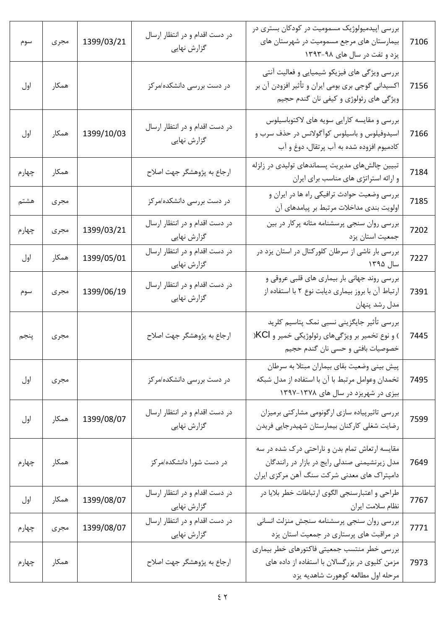| سوم   | مجرى  | 1399/03/21 | در دست اقدام و در انتظار ارسال<br>گزارش نهایی | بررسی اپیدمیولوژیک مسمومیت در کودکان بستری در<br>بیمارستان های مرجع مسمومیت در شهرستان های<br>یزد و تفت در سال های ۹۸-۱۳۹۳                     | 7106 |
|-------|-------|------------|-----------------------------------------------|------------------------------------------------------------------------------------------------------------------------------------------------|------|
| اول   | همكار |            | در دست بررسی دانشکده/مرکز                     | بررسی ویژگی های فیزیکو شیمیایی و فعالیت آنتی<br>اکسیدانی گوجی بری بومی ایران و تأثیر افزودن آن بر<br>ویژگی های رئولوژی و کیفی نان گندم حجیم    | 7156 |
| اول   | همكار | 1399/10/03 | در دست اقدام و در انتظار ارسال<br>گزارش نهایی | بررسی و مقایسه کارایی سویه های لاکتوباسیلوس<br>اسیدوفیلوس و باسیلوس کوآگولانس در حذف سرب و<br>كادميوم افزوده شده به آب پرتقال، دوغ و آب        | 7166 |
| چهارم | همكار |            | ارجاع به پژوهشگر جهت اصلاح                    | تبیین چالشهای مدیریت پسماندهای تولیدی در زلزله<br>و ارائه استراتژی های مناسب برای ایران                                                        | 7184 |
| هشتم  | مجرى  |            | در دست بررسی دانشکده/مرکز                     | بررسی وضعیت حوادث ترافیکی راه ها در ایران و<br>اولویت بندی مداخلات مرتبط بر پیامدهای آن                                                        | 7185 |
| چهارم | مجرى  | 1399/03/21 | در دست اقدام و در انتظار ارسال<br>گزارش نهایی | بررسی روان سنجی پرسشنامه مثانه پرکار در بین<br>جمعیت استان یزد                                                                                 | 7202 |
| اول   | همكار | 1399/05/01 | در دست اقدام و در انتظار ارسال<br>گزارش نهایی | بررسی بار ناشی از سرطان کلورکتال در استان یزد در<br>سال ۱۳۹۵                                                                                   | 7227 |
| سوم   | مجرى  | 1399/06/19 | در دست اقدام و در انتظار ارسال<br>گزارش نهایی | بررسی روند جهانی بار بیماری های قلبی عروقی و<br>ارتباط آن با بروز بیماری دیابت نوع ۲ با استفاده از<br>مدل رشد پنهان                            | 7391 |
| پنجم  | مجرى  |            | ارجاع به پژوهشگر جهت اصلاح                    | بررسي تأثير جايگزيني نسبي نمک پتاسيم کلريد<br>) و نوع تخمیر بر ویژگیهای رئولوژیکی خمیر و KCl(<br>خصوصيات بافتى و حسى نان گندم حجيم             | 7445 |
| اول   | مجرى  |            | در دست بررسی دانشکده/مرکز                     | پیش بینی وضعیت بقای بیماران مبتلا به سرطان<br>تخمدان وعوامل مرتبط با آن با استفاده از مدل شبكه<br>بیزی در شهریزد در سال های ۱۳۷۸-۱۳۹۷          | 7495 |
| اول   | همكار | 1399/08/07 | در دست اقدام و در انتظار ارسال<br>گزارش نهایی | بررسی تاثیرپیاده سازی ارگونومی مشارکتی برمیزان<br>رضایت شغلی کارکنان بیمارستان شهیدرجایی فریدن                                                 | 7599 |
| چهارم | همكار |            | در دست شورا دانشکده/مرکز                      | مقایسه ارتعاش تمام بدن و ناراحتی درک شده در سه<br>مدل زیرنشیمنی صندلی رایج در بازار در رانندگان<br>دامپتراک های معدنی شرکت سنگ آهن مرکزی ایران | 7649 |
| اول   | همكار | 1399/08/07 | در دست اقدام و در انتظار ارسال<br>گزارش نهایی | طراحی و اعتبارسنجی الگوی ارتباطات خطر بلایا در<br>نظام سلامت ايران                                                                             | 7767 |
| چهارم | مجرى  | 1399/08/07 | در دست اقدام و در انتظار ارسال<br>گزارش نهایی | بررسي روان سنجي پرسشنامه سنجش منزلت انساني<br>در مراقبت های پرستاری در جمعیت استان یزد                                                         | 7771 |
| چهارم | همكار |            | ارجاع به پژوهشگر جهت اصلاح                    | بررسي خطر منتسب جمعيتي فاكتورهاي خطر بيماري<br>مزمن کلیوی در بزرگسالان با استفاده از داده های<br>مرحله اول مطالعه كوهورت شاهديه يزد            | 7973 |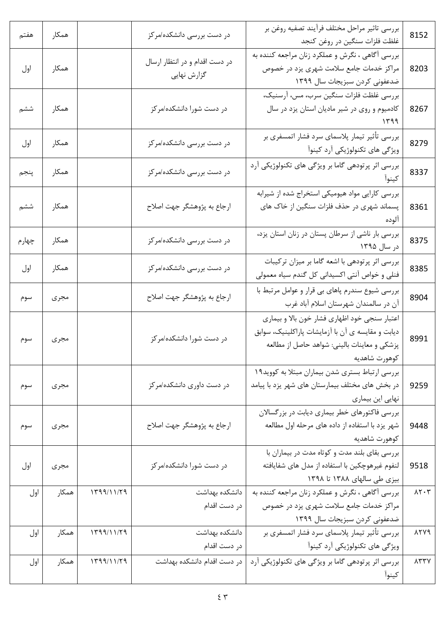| 8152                              | بررسي تاثير مراحل مختلف فرأيند تصفيه روغن بر<br>غلظت فلزات سنگين در روغن كنجد                                                                                       | در دست بررسی دانشکده/مرکز                     |            | همكار | هفتم  |
|-----------------------------------|---------------------------------------------------------------------------------------------------------------------------------------------------------------------|-----------------------------------------------|------------|-------|-------|
| 8203                              | بررسی آگاهی ، نگرش و عملکرد زنان مراجعه کننده به<br>مراکز خدمات جامع سلامت شهری یزد در خصوص<br>ضدعفونی کردن سبزیجات سال ۱۳۹۹                                        | در دست اقدام و در انتظار ارسال<br>گزارش نهایی |            | همكار | اول   |
| 8267                              | بررسي غلظت فلزات سنگين سرب، مس، آرسنيک،<br>کادمیوم و روی در شیر مادیان استان یزد در سال                                                                             | در دست شورا دانشکده/مرکز                      |            | همكار | ششم   |
| 8279                              | بررسي تأثير تيمار پلاسماي سرد فشار اتمسفري بر<br>ویژگی های تکنولوژیکی آرد کینوآ                                                                                     | در دست بررسی دانشکده/مرکز                     |            | همكار | اول   |
| 8337                              | بررسی اثر پرتودهی گاما بر ویژگی های تکنولوژیکی آرد                                                                                                                  | در دست بررسی دانشکده/مرکز                     |            | همكار | پنجم  |
| 8361                              | بررسی کارایی مواد هیومیکی استخراج شده از شیرابه<br>پسماند شهری در حذف فلزات سنگین از خاک های                                                                        | ارجاع به پژوهشگر جهت اصلاح                    |            | همكار | ششم   |
| 8375                              | بررسی بار ناشی از سرطان پستان در زنان استان یزد،<br>در سال ۱۳۹۵                                                                                                     | در دست بررسی دانشکده/مرکز                     |            | همكار | چهارم |
| 8385                              | بررسی اثر پرتودهی با اشعه گاما بر میزان ترکیبات<br>فنلی و خواص آنتی اکسیدانی کل گندم سیاه معمولی                                                                    | در دست بررسی دانشکده/مرکز                     |            | همكار | اول   |
| 8904                              | بررسی شیوع سندرم پاهای بی قرار و عوامل مرتبط با<br>آن در سالمندان شهرستان اسلام آباد غرب                                                                            | ارجاع به پژوهشگر جهت اصلاح                    |            | مجرى  | سوم   |
| 8991                              | اعتبار سنجي خود اظهاري فشار خون بالا و بيماري<br>دیابت و مقایسه ی آن با آزمایشات پاراکلینیک، سوابق<br>پزشکی و معاینات بالینی: شواهد حاصل از مطالعه<br>كوهورت شاهديه | در دست شورا دانشکده/مرکز                      |            | مجرى  | سوم   |
| 9259                              | بررسی ارتباط بستری شدن بیماران مبتلا به کووید١٩<br>در بخش های مختلف بیمارستان های شهر یزد با پیامد<br>نهایی این بیماری                                              | در دست داوری دانشکده/مرکز                     |            | مجرى  | سوم   |
| 9448                              | بررسی فاکتورهای خطر بیماری دیابت در بزرگسالان<br>شهر یزد با استفاده از داده های مرحله اول مطالعه<br>كوهورت شاهديه                                                   | ارجاع به پژوهشگر جهت اصلاح                    |            | مجرى  | سوم   |
| 9518                              | بررسی بقای بلند مدت و کوتاه مدت در بیماران با<br>لنفوم غیرهوچکین با استفاده از مدل های شفایافته<br>بیزی طی سالهای ۱۳۸۸ تا ۱۳۹۸                                      | در دست شورا دانشکده/مرکز                      |            | مجرى  | اول   |
| $\lambda \Upsilon \cdot \Upsilon$ | بررسی آگاهی ، نگرش و عملکرد زنان مراجعه کننده به<br>مراکز خدمات جامع سلامت شهری یزد در خصوص<br>ضدعفونی کردن سبزیجات سال ۱۳۹۹                                        | دانشكده بهداشت<br>در دست اقدام                | 1799/11/79 | همكار | اول   |
| 1779                              | بررسی تأثیر تیمار پلاسمای سرد فشار اتمسفری بر<br>ویژگی های تکنولوژیکی آرد کینوآ                                                                                     | دانشكده بهداشت<br>در دست اقدام                | 1799/11/79 | همكار | اول   |
| $\lambda$ $\gamma$ $\gamma$       | بررسی اثر پرتودهی گاما بر ویژگی های تکنولوژیکی آرد<br>كينوا                                                                                                         | در دست اقدام دانشکده بهداشت                   | 1799/11/79 | همكار | اول   |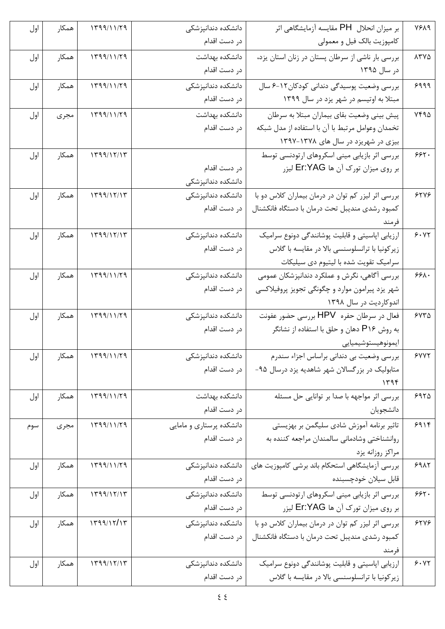| 1919          | بر میزان انحلال  PH مقایسه آزمایشگاهی اثر                                                            | دانشكده دندانپزشكى       | $\mathcal{N}(\mathcal{N}) \cap \mathcal{N}(\mathcal{N})$ | همكار | اول |
|---------------|------------------------------------------------------------------------------------------------------|--------------------------|----------------------------------------------------------|-------|-----|
|               | كامپوزيت بالک فيل و معمولي                                                                           | در دست اقدام             |                                                          |       |     |
| $\lambda$ ۳۷۵ | بررسی بار ناشی از سرطان پستان در زنان استان یزد،                                                     | دانشكده بهداشت           | 1799/11/79                                               | همكار | اول |
|               | در سال ۱۳۹۵                                                                                          | در دست اقدام             |                                                          |       |     |
| 9999          | بررسی وضعیت پوسیدگی دندانی کودکان۱۲-۶ سال                                                            | دانشكده دندانپزشكى       | 1799/11/79                                               | همكار | اول |
|               | مبتلا به اوتیسم در شهر یزد در سال ۱۳۹۹                                                               | در دست اقدام             |                                                          |       |     |
| $YFA\Delta$   | پیش بینی وضعیت بقای بیماران مبتلا به سرطان                                                           | دانشكده بهداشت           | 1799/11/79                                               | مجرى  | اول |
|               | تخمدان وعوامل مرتبط با آن با استفاده از مدل شبكه                                                     | در دست اقدام             |                                                          |       |     |
|               | بیزی در شهریزد در سال های ۱۳۷۸-۱۳۹۷                                                                  |                          |                                                          |       |     |
| 555.          | بررسی اثر بازیابی مینی اسکروهای ارتودنسی توسط                                                        |                          | 1799/17/17                                               | همكار | اول |
|               | بر روی میزان تورک آن ها Er:YAG لیزر                                                                  | در دست اقدام             |                                                          |       |     |
|               |                                                                                                      | دانشكده دندانپزشكى       |                                                          |       |     |
| 5505          | بررسی اثر لیزر کم توان در درمان بیماران کلاس دو با                                                   | دانشكده دندانپزشكى       | 1799/17/17                                               | همكار | اول |
|               | كمبود رشدى منديبل تحت درمان با دستگاه فانكشنال                                                       | در دست اقدام             |                                                          |       |     |
|               | فرمند                                                                                                |                          |                                                          |       |     |
| 9.11          | ارزیابی اپاسیتی و قابلیت پوشانندگی دونوع سرامیک                                                      | دانشكده دندانپزشكى       | 1799/17/17                                               | همكار | اول |
|               | زیر کونیا با ترانسلوسنسی بالا در مقایسه با گلاس                                                      | در دست اقدام             |                                                          |       |     |
|               | سرامیک تقویت شده با لیتیوم دی سیلیکات                                                                |                          |                                                          |       |     |
| $55\lambda$   | بررسی آگاهی، نگرش و عملکرد دندانپزشکان عمومی                                                         | دانشكده دندانپزشكى       | 1199/11/79                                               | همكار | اول |
|               | شهر یزد پیرامون موارد و چگونگی تجویز پروفیلاکسی                                                      | در دست اقدام             |                                                          |       |     |
|               | اندوکاردیت در سال ۱۳۹۸                                                                               |                          |                                                          |       |     |
| ۶۷۳۵          | فعال در سرطان حفره HPV بررسی حضور عفونت                                                              | دانشكده دندانپزشكى       | 1199/11/79                                               | همكار | اول |
|               | به روش P۱۶ دهان و حلق با استفاده از نشانگر                                                           | در دست اقدام             |                                                          |       |     |
| 5447          | ايمونوهيستوشيميايي<br>بررسی وضعیت بی دندانی براساس اجزاء سندرم                                       | دانشکده دندانپزشکی       | 1799/11/79                                               | همکار |     |
|               | متابولیک در بزرگسالان شهر شاهدیه یزد درسال ۹۵-                                                       | در دست اقدام             |                                                          |       | اول |
|               | ۱۳۹۴                                                                                                 |                          |                                                          |       |     |
| 5970          | بررسی اثر مواجهه با صدا بر توانایی حل مسئله                                                          | دانشكده بهداشت           | 1799/11/79                                               | همكار | اول |
|               | دانشجويان                                                                                            | در دست اقدام             |                                                          |       |     |
| 9914          | تاثیر برنامه آموزش شادی سلیگمن بر بهزیستی                                                            | دانشکده پرستاری و مامایی | 1199/11/79                                               |       |     |
|               | روانشناختی وشادمانی سالمندان مراجعه کننده به                                                         | در دست اقدام             |                                                          | مجرى  | سوم |
|               | مراكز روزانه يزد                                                                                     |                          |                                                          |       |     |
| 5917          | بررسی آزمایشگاهی استحکام باند برشی کامپوزیت های                                                      | دانشكده دندانپزشكى       | 1799/11/79                                               | همكار | اول |
|               | قابل سيلان خودچسبنده                                                                                 | در دست اقدام             |                                                          |       |     |
| 555.          | بررسی اثر بازیابی مینی اسکروهای ارتودنسی توسط                                                        | دانشكده دندانيز شكى      | 1799/17/17                                               | همكار | اول |
|               | بر روی میزان تورک آن ها Er:YAG لیزر                                                                  | در دست اقدام             |                                                          |       |     |
| 5505          |                                                                                                      | دانشكده دندانپزشكى       | 1499/15/15                                               | همكار |     |
|               | بررسی اثر لیزر کم توان در درمان بیماران کلاس دو با<br>كمبود رشدى منديبل تحت درمان با دستگاه فانكشنال | در دست اقدام             |                                                          |       | اول |
|               | فرمند                                                                                                |                          |                                                          |       |     |
| 9.17          | ارزیابی اپاسیتی و قابلیت پوشانندگی دونوع سرامیک                                                      | دانشكده دندانپزشكى       | 1799/17/17                                               | همكار | اول |
|               | زیر کونیا با ترانسلوسنسی بالا در مقایسه با گلاس                                                      | در دست اقدام             |                                                          |       |     |
|               |                                                                                                      |                          |                                                          |       |     |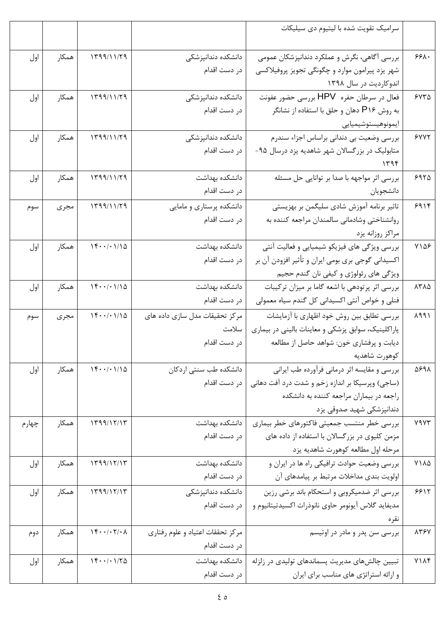|       |       |                                                                           |                                                  | سرامیک تقویت شده با لیتیوم دی سیلیکات                                                   |                                  |
|-------|-------|---------------------------------------------------------------------------|--------------------------------------------------|-----------------------------------------------------------------------------------------|----------------------------------|
|       |       |                                                                           |                                                  |                                                                                         |                                  |
| اول   | همكار | 1799/11/79                                                                | دانشكده دندانپزشكى                               | بررسی آگاهی، نگرش و عملکرد دندانپزشکان عمومی                                            | 551.                             |
|       |       |                                                                           | در دست اقدام                                     | شهر یزد پیرامون موارد و چگونگی تجویز پروفیلاکسی                                         |                                  |
|       |       |                                                                           |                                                  | اندوکاردیت در سال ۱۳۹۸                                                                  |                                  |
| اول   | همكار | 1799/11/79                                                                | دانشكده دندانپزشكى                               | فعال در سرطان حفره HPV بررسی حضور عفونت                                                 | 550                              |
|       |       |                                                                           | در دست اقدام                                     | به روش P۱۶ دهان و حلق با استفاده از نشانگر                                              |                                  |
|       |       |                                                                           |                                                  | ايمونوهيستوشيميايي                                                                      |                                  |
| اول   | همكار | 1799/11/79                                                                | دانشكده دندانپزشكى                               | بررسی وضعیت بی دندانی براساس اجزاء سندرم                                                | 5YYY                             |
|       |       |                                                                           | در دست اقدام                                     | متابولیک در بزرگسالان شهر شاهدیه یزد درسال ۹۵-                                          |                                  |
|       |       |                                                                           |                                                  | ۱۳۹۴                                                                                    |                                  |
| اول   | همكار | 1799/11/79                                                                | دانشكده بهداشت                                   | بررسی اثر مواجهه با صدا بر توانایی حل مسئله                                             | 5970                             |
|       |       |                                                                           | در دست اقدام                                     | دانشجويان                                                                               |                                  |
| سوم   | مجرى  | 1199/11/79                                                                | دانشکده پرستاری و مامایی                         | تاثیر برنامه آموزش شادی سلیگمن بر بهزیستی                                               | 911                              |
|       |       |                                                                           | در دست اقدام                                     | روانشناختى وشادمانى سالمندان مراجعه كننده به                                            |                                  |
|       |       |                                                                           |                                                  | مراكز روزانه يزد                                                                        |                                  |
| اول   | همكار | 14.1110                                                                   | دانشكده بهداشت                                   | بررسی ویژگی های فیزیکو شیمیایی و فعالیت آنتی                                            | $Y \setminus \Delta \mathcal{F}$ |
|       |       |                                                                           | در دست اقدام                                     | اکسیدانی گوجی بری بومی ایران و تأثیر افزودن آن بر                                       |                                  |
|       |       |                                                                           |                                                  | ویژگی های رئولوژی و کیفی نان گندم حجیم                                                  |                                  |
| اول   | همكار | 14.1110                                                                   | دانشكده بهداشت                                   | بررسی اثر پرتودهی با اشعه گاما بر میزان ترکیبات                                         | 1710                             |
|       |       |                                                                           | در دست اقدام                                     | فنلی و خواص آنتی اکسیدانی کل گندم سیاه معمولی                                           |                                  |
| سوم   | مجرى  | 14.1110                                                                   | مرکز تحقیقات مدل سازی داده های                   | بررسی تطابق بین روش خود اظهاری با آزمایشات                                              | 1991                             |
|       |       |                                                                           | سلامت                                            | پاراکلینیک، سوابق پزشکی و معاینات بالینی در بیماری                                      |                                  |
|       |       |                                                                           | در دست اقدام                                     | دیابت و پرفشاری خون: شواهد حاصل از مطالعه                                               |                                  |
|       |       |                                                                           |                                                  | كوهورت شاهديه                                                                           |                                  |
| اول   | همكار | 14.1110                                                                   | دانشکده طب سنتی اردکان                           | بررسی و مقایسه اثر درمانی فرآورده طب ایرانی                                             | 5891                             |
|       |       |                                                                           | در دست اقدام                                     | (ساجی) وپرسیکا بر اندازه زخم و شدت درد آفت دهانی                                        |                                  |
|       |       |                                                                           |                                                  | راجعه در بيماران مراجعه كننده به دانشكده                                                |                                  |
|       |       |                                                                           |                                                  | دندانپزشکی شهید صدوقی یزد                                                               |                                  |
| چهارم | همكار | 1799/17/17                                                                | دانشكده بهداشت                                   | بررسی خطر منتسب جمعیتی فاکتورهای خطر بیماری                                             | <b>YAYT</b>                      |
|       |       |                                                                           | در دست اقدام                                     | مزمن کلیوی در بزرگسالان با استفاده از داده های                                          |                                  |
|       |       | 1199/17/17                                                                | دانشكده بهداشت                                   | مرحله اول مطالعه كوهورت شاهديه يزد                                                      | $Y1\Lambda\Delta$                |
| اول   | همكار |                                                                           | در دست اقدام                                     | بررسی وضعیت حوادث ترافیکی راه ها در ایران و<br>اولويت بندي مداخلات مرتبط بر پيامدهاي آن |                                  |
|       |       |                                                                           |                                                  |                                                                                         |                                  |
| اول   | همكار | 1799/17/17                                                                | دانشكده دندانپزشكى                               | بررسی اثر ضدمیکروبی و استحکام باند برشی رزین                                            | 9915                             |
|       |       |                                                                           | در دست اقدام                                     | مديفايد گلاس آيونومر حاوي نانوذرات اكسيدتيتانيوم و                                      |                                  |
|       |       | $\mathcal{N} \cdot \cdot \mathcal{N} \cdot \mathcal{N} \cdot \mathcal{N}$ |                                                  | نقره                                                                                    | 8787                             |
| دوم   | همكار |                                                                           | مرکز تحققات اعتياد و علوم رفتاري<br>در دست اقدام | بررسی سن پدر و مادر در اوتیسم                                                           |                                  |
|       |       |                                                                           |                                                  |                                                                                         |                                  |
| اول   | همكار | 14.170                                                                    | دانشكده بهداشت                                   | تبیین چالشهای مدیریت پسماندهای تولیدی در زلزله                                          | $Y1\Lambda f$                    |
|       |       |                                                                           | در دست اقدام                                     | و ارائه استراتژی های مناسب برای ایران                                                   |                                  |